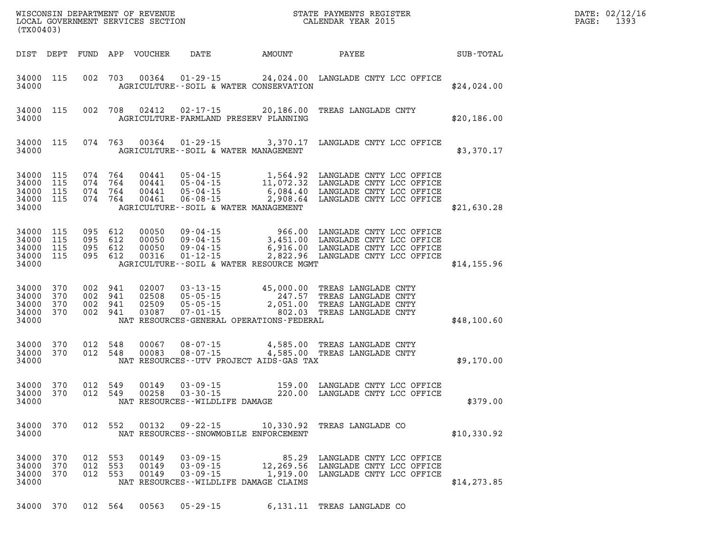| (TX00403)                                 |                          |                              |                   | WISCONSIN DEPARTMENT OF REVENUE<br>LOCAL GOVERNMENT SERVICES SECTION |                                                                       |                                                                                       | STATE PAYMENTS REGISTER<br>CALENDAR YEAR 2015                                                                                         |              | DATE: 02/12/16<br>PAGE:<br>1393 |
|-------------------------------------------|--------------------------|------------------------------|-------------------|----------------------------------------------------------------------|-----------------------------------------------------------------------|---------------------------------------------------------------------------------------|---------------------------------------------------------------------------------------------------------------------------------------|--------------|---------------------------------|
| DIST                                      | DEPT                     | FUND                         | APP               | VOUCHER                                                              | DATE                                                                  | AMOUNT                                                                                | PAYEE                                                                                                                                 | SUB-TOTAL    |                                 |
| 34000<br>34000                            | 115                      | 002                          | 703               | 00364                                                                | $01 - 29 - 15$                                                        | AGRICULTURE--SOIL & WATER CONSERVATION                                                | 24,024.00 LANGLADE CNTY LCC OFFICE                                                                                                    | \$24,024.00  |                                 |
| 34000<br>34000                            | 115                      | 002 708                      |                   | 02412                                                                | $02 - 17 - 15$                                                        | 20,186.00<br>AGRICULTURE-FARMLAND PRESERV PLANNING                                    | TREAS LANGLADE CNTY                                                                                                                   | \$20,186.00  |                                 |
| 34000<br>34000                            | 115                      | 074 763                      |                   | 00364                                                                | $01 - 29 - 15$                                                        | 3,370.17<br>AGRICULTURE--SOIL & WATER MANAGEMENT                                      | LANGLADE CNTY LCC OFFICE                                                                                                              | \$3,370.17   |                                 |
| 34000<br>34000<br>34000<br>34000<br>34000 | 115<br>115<br>115<br>115 | 074 764<br>074<br>074<br>074 | 764<br>764<br>764 | 00441<br>00441<br>00441<br>00461                                     | $05 - 04 - 15$<br>$05 - 04 - 15$<br>$05 - 04 - 15$<br>$06 - 08 - 15$  | 1,564.92<br>11,072.32<br>6,084.40<br>2,908.64<br>AGRICULTURE--SOIL & WATER MANAGEMENT | LANGLADE CNTY LCC OFFICE<br>LANGLADE CNTY LCC OFFICE<br>LANGLADE CNTY LCC OFFICE<br>LANGLADE CNTY LCC OFFICE                          | \$21,630.28  |                                 |
| 34000<br>34000<br>34000<br>34000<br>34000 | 115<br>115<br>115<br>115 | 095 612<br>095<br>095<br>095 | 612<br>612<br>612 | 00050<br>00050<br>00050<br>00316                                     | $09 - 04 - 15$<br>$09 - 04 - 15$<br>$09 - 04 - 15$<br>$01 - 12 - 15$  | 3,451.00<br>AGRICULTURE--SOIL & WATER RESOURCE MGMT                                   | 966.00 LANGLADE CNTY LCC OFFICE<br>LANGLADE CNTY LCC OFFICE<br>6,916.00 LANGLADE CNTY LCC OFFICE<br>2,822.96 LANGLADE CNTY LCC OFFICE | \$14,155.96  |                                 |
| 34000<br>34000<br>34000<br>34000<br>34000 | 370<br>370<br>370<br>370 | 002<br>002<br>002<br>002 941 | 941<br>941<br>941 | 02007<br>02508<br>02509<br>03087                                     | $03 - 13 - 15$<br>$05 - 05 - 15$<br>$05 - 05 - 15$<br>$07 - 01 - 15$  | 45,000.00<br>247.57<br>2,051.00<br>802.03<br>NAT RESOURCES-GENERAL OPERATIONS-FEDERAL | TREAS LANGLADE CNTY<br>TREAS LANGLADE CNTY<br>TREAS LANGLADE CNTY<br>TREAS LANGLADE CNTY                                              | \$48,100.60  |                                 |
| 34000<br>34000<br>34000                   | 370<br>370               | 012<br>012 548               | 548               | 00067<br>00083                                                       | $08 - 07 - 15$<br>$08 - 07 - 15$                                      | 4,585.00<br>NAT RESOURCES - - UTV PROJECT AIDS - GAS TAX                              | TREAS LANGLADE CNTY<br>4,585.00 TREAS LANGLADE CNTY                                                                                   | \$9,170.00   |                                 |
| 34000<br>34000<br>34000                   | 370<br>370               | 012<br>012                   | 549<br>549        | 00149<br>00258                                                       | $03 - 09 - 15$<br>$03 - 30 - 15$<br>NAT RESOURCES - - WILDLIFE DAMAGE | 159.00<br>220.00                                                                      | LANGLADE CNTY LCC OFFICE<br>LANGLADE CNTY LCC OFFICE                                                                                  | \$379.00     |                                 |
| 34000<br>34000                            | 370                      |                              | 012 552           | 00132                                                                | $09 - 22 - 15$                                                        | 10,330.92<br>NAT RESOURCES - - SNOWMOBILE ENFORCEMENT                                 | TREAS LANGLADE CO                                                                                                                     | \$10,330.92  |                                 |
| 34000<br>34000<br>34000<br>34000          | 370<br>370<br>370        | 012 553<br>012<br>012        | 553<br>553        | 00149<br>00149<br>00149                                              | $03 - 09 - 15$<br>$03 - 09 - 15$<br>$03 - 09 - 15$                    | 85.29<br>12,269.56<br>1,919.00<br>NAT RESOURCES - - WILDLIFE DAMAGE CLAIMS            | LANGLADE CNTY LCC OFFICE<br>LANGLADE CNTY LCC OFFICE<br>LANGLADE CNTY LCC OFFICE                                                      | \$14, 273.85 |                                 |
| 34000 370                                 |                          |                              | 012 564           | 00563                                                                | $05 - 29 - 15$                                                        |                                                                                       | 6,131.11 TREAS LANGLADE CO                                                                                                            |              |                                 |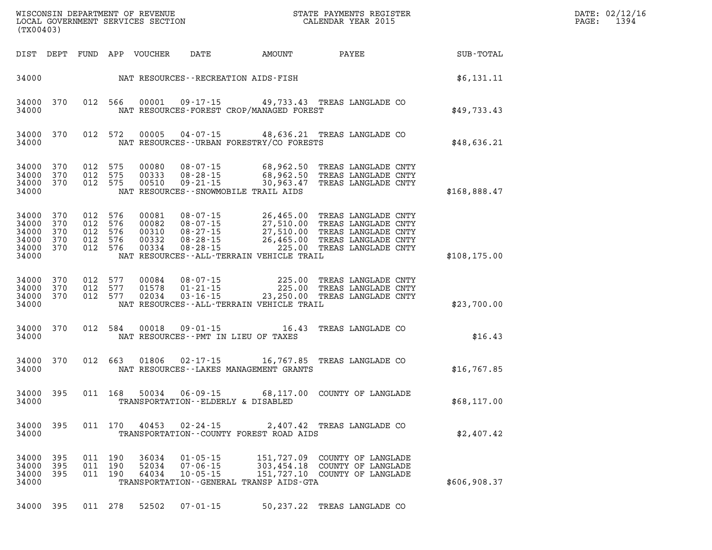| (TX00403)                                                              |                   |         |                                          |                                           |                                                    | WISCONSIN DEPARTMENT OF REVENUE<br>LOCAL GOVERNMENT SERVICES SECTION THE STATE PAYMENTS REGIST                                                                                                                                                             | STATE PAYMENTS REGISTER                                                   |               | DATE: 02/12/16<br>PAGE: 1394 |
|------------------------------------------------------------------------|-------------------|---------|------------------------------------------|-------------------------------------------|----------------------------------------------------|------------------------------------------------------------------------------------------------------------------------------------------------------------------------------------------------------------------------------------------------------------|---------------------------------------------------------------------------|---------------|------------------------------|
| DIST DEPT                                                              |                   |         |                                          | FUND APP VOUCHER                          |                                                    | DATE AMOUNT PAYEE                                                                                                                                                                                                                                          |                                                                           | SUB-TOTAL     |                              |
|                                                                        |                   |         |                                          |                                           |                                                    | 34000 NAT RESOURCES - RECREATION AIDS - FISH                                                                                                                                                                                                               |                                                                           | \$6,131.11    |                              |
| 34000 370<br>34000                                                     |                   |         | 012 566                                  |                                           |                                                    | 00001  09-17-15  49, 733.43  TREAS LANGLADE CO<br>NAT RESOURCES-FOREST CROP/MANAGED FOREST                                                                                                                                                                 |                                                                           | \$49,733.43   |                              |
| 34000                                                                  | 34000 370         |         | 012 572                                  |                                           |                                                    | 00005  04-07-15  48,636.21  TREAS LANGLADE CO<br>NAT RESOURCES--URBAN FORESTRY/CO FORESTS                                                                                                                                                                  |                                                                           | \$48,636.21   |                              |
| 34000 370<br>34000 370<br>34000 370<br>34000                           |                   |         | 012 575<br>012 575<br>012 575            | 00080<br>00333<br>00510                   |                                                    | 08-07-15 68,962.50 TREAS LANGLADE CNTY<br>08-28-15 68,962.50 TREAS LANGLADE CNTY<br>09-21-15 30,963.47 TREAS LANGLADE CNTY<br>NAT RESOURCES - - SNOWMOBILE TRAIL AIDS                                                                                      |                                                                           | \$168,888.47  |                              |
| 34000 370<br>34000 370<br>34000 370<br>34000 370<br>34000 370<br>34000 |                   | 012 576 | 012 576<br>012 576<br>012 576<br>012 576 | 00081<br>00082<br>00310<br>00332<br>00334 |                                                    | 08-07-15 26,465.00 TREAS LANGLADE CNTY<br>08-07-15 27,510.00 TREAS LANGLADE CNTY<br>08-27-15 27,510.00 TREAS LANGLADE CNTY<br>08-28-15 26,465.00 TREAS LANGLADE CNTY<br>08-28-15 225.00 TREAS LANGLADE CNTY<br>NAT RESOURCES - - ALL-TERRAIN VEHICLE TRAIL |                                                                           | \$108, 175.00 |                              |
| 34000 370<br>34000 370<br>34000 370<br>34000                           |                   |         | 012 577<br>012 577<br>012 577            |                                           |                                                    | 00084  08-07-15  225.00 TREAS LANGLADE CNTY<br>01578  01-21-15  225.00 TREAS LANGLADE CNTY<br>02034  03-16-15  23,250.00 TREAS LANGLADE CNTY<br>NAT RESOURCES--ALL-TERRAIN VEHICLE TRAIL                                                                   |                                                                           | \$23,700.00   |                              |
| 34000 370<br>34000                                                     |                   |         | 012 584                                  | 00018                                     |                                                    | 09-01-15 16.43 TREAS LANGLADE CO<br>NAT RESOURCES--PMT IN LIEU OF TAXES                                                                                                                                                                                    |                                                                           | \$16.43       |                              |
| 34000 370<br>34000                                                     |                   |         | 012 663                                  |                                           |                                                    | 01806  02-17-15  16,767.85  TREAS LANGLADE CO<br>NAT RESOURCES - - LAKES MANAGEMENT GRANTS                                                                                                                                                                 |                                                                           | \$16,767.85   |                              |
| 34000 395<br>34000                                                     |                   |         | 011 168                                  | 50034                                     |                                                    | 06-09-15 68,117.00 COUNTY OF LANGLADE<br>TRANSPORTATION -- ELDERLY & DISABLED                                                                                                                                                                              |                                                                           | \$68,117.00   |                              |
| 34000<br>34000                                                         | 395               |         | 011 170                                  | 40453                                     | $02 - 24 - 15$                                     | TRANSPORTATION--COUNTY FOREST ROAD AIDS                                                                                                                                                                                                                    | 2,407.42 TREAS LANGLADE CO                                                | \$2,407.42    |                              |
| 34000<br>34000<br>34000<br>34000                                       | 395<br>395<br>395 | 011     | 011 190<br>190<br>011 190                | 36034<br>52034<br>64034                   | $01 - 05 - 15$<br>$07 - 06 - 15$<br>$10 - 05 - 15$ | 151,727.09<br>303,454.18<br>TRANSPORTATION--GENERAL TRANSP AIDS-GTA                                                                                                                                                                                        | COUNTY OF LANGLADE<br>COUNTY OF LANGLADE<br>151,727.10 COUNTY OF LANGLADE | \$606,908.37  |                              |
| 34000 395                                                              |                   |         | 011 278                                  | 52502                                     | $07 - 01 - 15$                                     |                                                                                                                                                                                                                                                            | 50,237.22 TREAS LANGLADE CO                                               |               |                              |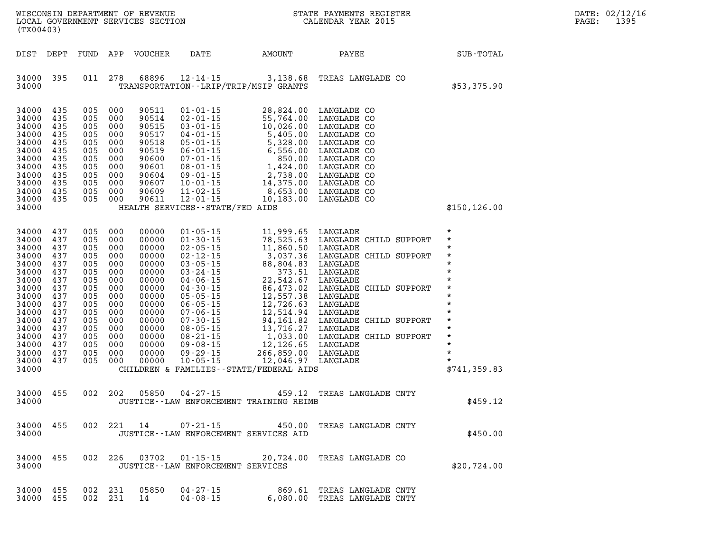| (TX00403)                                                                                                                                                      |                                                                                                                     |                                                                                                                         |                                                                                                              | WISCONSIN DEPARTMENT OF REVENUE<br>LOCAL GOVERNMENT SERVICES SECTION                                                                                  | $\mathbf N$                                                                                                                                                                                                                                                                                        |                                                                                                                                                                                                                                                                         | STATE PAYMENTS REGISTER<br>CALENDAR YEAR 2015                                                                                                                                                                                                     |  | DATE: 02/12/16<br>1395<br>PAGE:                                                                                                                              |  |
|----------------------------------------------------------------------------------------------------------------------------------------------------------------|---------------------------------------------------------------------------------------------------------------------|-------------------------------------------------------------------------------------------------------------------------|--------------------------------------------------------------------------------------------------------------|-------------------------------------------------------------------------------------------------------------------------------------------------------|----------------------------------------------------------------------------------------------------------------------------------------------------------------------------------------------------------------------------------------------------------------------------------------------------|-------------------------------------------------------------------------------------------------------------------------------------------------------------------------------------------------------------------------------------------------------------------------|---------------------------------------------------------------------------------------------------------------------------------------------------------------------------------------------------------------------------------------------------|--|--------------------------------------------------------------------------------------------------------------------------------------------------------------|--|
| DIST DEPT                                                                                                                                                      |                                                                                                                     |                                                                                                                         |                                                                                                              | FUND APP VOUCHER                                                                                                                                      | DATE                                                                                                                                                                                                                                                                                               | AMOUNT                                                                                                                                                                                                                                                                  | PAYEE                                                                                                                                                                                                                                             |  | SUB-TOTAL                                                                                                                                                    |  |
| 34000 395<br>34000                                                                                                                                             |                                                                                                                     | 011 278                                                                                                                 |                                                                                                              | 68896                                                                                                                                                 | $12 - 14 - 15$                                                                                                                                                                                                                                                                                     | 3,138.68<br>TRANSPORTATION - - LRIP/TRIP/MSIP GRANTS                                                                                                                                                                                                                    | TREAS LANGLADE CO                                                                                                                                                                                                                                 |  | \$53,375.90                                                                                                                                                  |  |
| 34000<br>34000<br>34000<br>34000<br>34000<br>34000<br>34000<br>34000<br>34000<br>34000<br>34000<br>34000<br>34000                                              | 435<br>435<br>435<br>435<br>435<br>435<br>435<br>435<br>435<br>435<br>435<br>435                                    | 005 000<br>005<br>005<br>005<br>005<br>005<br>005<br>005<br>005<br>005<br>005<br>005 000                                | 000<br>000<br>000<br>000<br>000<br>000<br>000<br>000<br>000<br>000                                           | 90511<br>90514<br>90515<br>90517<br>90518<br>90519<br>90600<br>90601<br>90604<br>90607<br>90609<br>90611                                              | $01 - 01 - 15$<br>HEALTH SERVICES - - STATE/FED AIDS                                                                                                                                                                                                                                               | 28,824.00<br>01-01-15<br>02-01-15<br>03-01-15<br>04-01-15<br>55,764.00 LANGLADE CO<br>04-01-15<br>55,764.00 LANGLADE CO<br>04-01-15<br>5,405.00 LANGLADE CO<br>05-01-15<br>6,556.00 LANGLADE CO<br>07-01-15<br>6,556.00 LANGLADE CO<br>08-01-15<br>1,424.00 LANGLADE CO | LANGLADE CO                                                                                                                                                                                                                                       |  | \$150, 126.00                                                                                                                                                |  |
|                                                                                                                                                                |                                                                                                                     |                                                                                                                         |                                                                                                              |                                                                                                                                                       |                                                                                                                                                                                                                                                                                                    |                                                                                                                                                                                                                                                                         |                                                                                                                                                                                                                                                   |  |                                                                                                                                                              |  |
| 34000<br>34000<br>34000<br>34000<br>34000<br>34000<br>34000<br>34000<br>34000<br>34000<br>34000<br>34000<br>34000<br>34000<br>34000<br>34000<br>34000<br>34000 | 437<br>437<br>437<br>437<br>437<br>437<br>437<br>437<br>437<br>437<br>437<br>437<br>437<br>437<br>437<br>437<br>437 | 005<br>005<br>005<br>005<br>005<br>005<br>005<br>005<br>005<br>005<br>005<br>005<br>005<br>005<br>005<br>005<br>005 000 | 000<br>000<br>000<br>000<br>000<br>000<br>000<br>000<br>000<br>000<br>000<br>000<br>000<br>000<br>000<br>000 | 00000<br>00000<br>00000<br>00000<br>00000<br>00000<br>00000<br>00000<br>00000<br>00000<br>00000<br>00000<br>00000<br>00000<br>00000<br>00000<br>00000 | $01 - 05 - 15$<br>$01 - 30 - 15$<br>$02 - 05 - 15$<br>$02 - 12 - 15$<br>$03 - 05 - 15$<br>$03 - 24 - 15$<br>$04 - 06 - 15$<br>04-30-15<br>$05 - 05 - 15$<br>$06 - 05 - 15$<br>$07 - 06 - 15$<br>07-30-15<br>$08 - 05 - 15$<br>$08 - 21 - 15$<br>$09 - 08 - 15$<br>$09 - 29 - 15$<br>$10 - 05 - 15$ | 12,046.97 LANGLADE<br>CHILDREN & FAMILIES - - STATE/FEDERAL AIDS                                                                                                                                                                                                        | 11,999.65 LANGLADE<br>78,525.63 LANGLADE CHILD SUPPORT<br>11,860.50 LANGLADE<br>3,037.36 LANGLADE<br>373.51 LANGLADE<br>373.51 LANGLADE<br>22,542.67 LANGLADE<br>86,473.02 LANGLADE<br>86,473.02 LANGLADE CHILD SUPPORT<br>12,726.63 LANGLADE<br> |  | $\star$<br>$\star$<br>$\star$<br>$\star$<br>$\star$<br>$\star$<br>$\star$<br>$\star$<br>$\star$<br>$\star$<br>$\star$<br>$\star$<br>$\star$<br>\$741, 359.83 |  |
| 34000<br>34000                                                                                                                                                 | 455                                                                                                                 | 002 202                                                                                                                 |                                                                                                              | 05850                                                                                                                                                 | $04 - 27 - 15$                                                                                                                                                                                                                                                                                     | JUSTICE--LAW ENFORCEMENT TRAINING REIMB                                                                                                                                                                                                                                 | 459.12 TREAS LANGLADE CNTY                                                                                                                                                                                                                        |  | \$459.12                                                                                                                                                     |  |
| 34000 455<br>34000                                                                                                                                             |                                                                                                                     |                                                                                                                         |                                                                                                              | 002 221 14                                                                                                                                            | 07-21-15                                                                                                                                                                                                                                                                                           | JUSTICE -- LAW ENFORCEMENT SERVICES AID                                                                                                                                                                                                                                 | 450.00 TREAS LANGLADE CNTY                                                                                                                                                                                                                        |  | \$450.00                                                                                                                                                     |  |
| 34000 455<br>34000                                                                                                                                             |                                                                                                                     |                                                                                                                         |                                                                                                              |                                                                                                                                                       | JUSTICE - - LAW ENFORCEMENT SERVICES                                                                                                                                                                                                                                                               |                                                                                                                                                                                                                                                                         | 002 226 03702 01-15-15 20,724.00 TREAS LANGLADE CO                                                                                                                                                                                                |  | \$20,724.00                                                                                                                                                  |  |
| 34000 455<br>34000 455                                                                                                                                         |                                                                                                                     |                                                                                                                         | 002 231<br>002 231                                                                                           | 05850<br>14                                                                                                                                           | $04 - 27 - 15$<br>$04 - 08 - 15$                                                                                                                                                                                                                                                                   |                                                                                                                                                                                                                                                                         | 869.61 TREAS LANGLADE CNTY<br>6,080.00 TREAS LANGLADE CNTY                                                                                                                                                                                        |  |                                                                                                                                                              |  |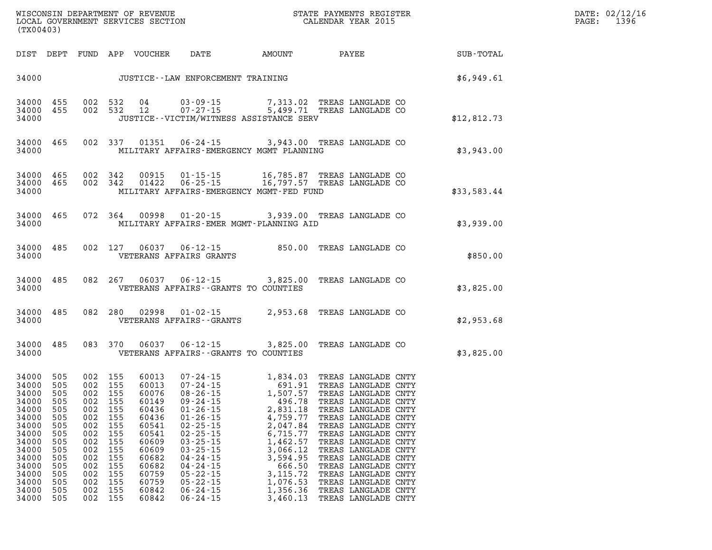| DATE: | 02/12/16 |
|-------|----------|
| PAGE: | 1396     |

| (TX00403)                                                                                                                                   |                                                                                           |                                                             |                                                                                                                               |                                                                                                                                     |                                                                                                                                                                                                    |                                                                                                                                                                                                                                                                                                                                                               |                                                                                                                                                                                                                                    |                                                        | DATE: 02/12/1<br>$\mathtt{PAGE}$ :<br>1396 |
|---------------------------------------------------------------------------------------------------------------------------------------------|-------------------------------------------------------------------------------------------|-------------------------------------------------------------|-------------------------------------------------------------------------------------------------------------------------------|-------------------------------------------------------------------------------------------------------------------------------------|----------------------------------------------------------------------------------------------------------------------------------------------------------------------------------------------------|---------------------------------------------------------------------------------------------------------------------------------------------------------------------------------------------------------------------------------------------------------------------------------------------------------------------------------------------------------------|------------------------------------------------------------------------------------------------------------------------------------------------------------------------------------------------------------------------------------|--------------------------------------------------------|--------------------------------------------|
|                                                                                                                                             |                                                                                           |                                                             |                                                                                                                               |                                                                                                                                     |                                                                                                                                                                                                    |                                                                                                                                                                                                                                                                                                                                                               |                                                                                                                                                                                                                                    | DIST DEPT FUND APP VOUCHER DATE AMOUNT PAYEE SUB-TOTAL |                                            |
|                                                                                                                                             |                                                                                           |                                                             |                                                                                                                               |                                                                                                                                     |                                                                                                                                                                                                    | 34000 JUSTICE - LAW ENFORCEMENT TRAINING $$6,949.61$                                                                                                                                                                                                                                                                                                          |                                                                                                                                                                                                                                    |                                                        |                                            |
| 34000 455<br>34000 455<br>34000                                                                                                             |                                                                                           |                                                             |                                                                                                                               |                                                                                                                                     |                                                                                                                                                                                                    | 002 532 04 03-09-15 7,313.02 TREAS LANGLADE CO<br>002 532 12 07-27-15 5,499.71 TREAS LANGLADE CO<br>JUSTICE--VICTIM/WITNESS ASSISTANCE SERV                                                                                                                                                                                                                   |                                                                                                                                                                                                                                    | \$12,812.73                                            |                                            |
| 34000 465<br>34000                                                                                                                          |                                                                                           |                                                             |                                                                                                                               |                                                                                                                                     |                                                                                                                                                                                                    | 002 337 01351 06-24-15 3,943.00 TREAS LANGLADE CO<br>MILITARY AFFAIRS-EMERGENCY MGMT PLANNING                                                                                                                                                                                                                                                                 |                                                                                                                                                                                                                                    | \$3,943.00                                             |                                            |
| 34000 465<br>34000 465<br>34000                                                                                                             |                                                                                           |                                                             |                                                                                                                               |                                                                                                                                     |                                                                                                                                                                                                    | 002 342 00915 01-15-15 16,785.87 TREAS LANGLADE CO<br>002 342 01422 06-25-15 16,797.57 TREAS LANGLADE CO<br>MILITARY AFFAIRS-EMERGENCY MGMT-FED FUND                                                                                                                                                                                                          |                                                                                                                                                                                                                                    | \$33,583.44                                            |                                            |
| 34000 465<br>34000                                                                                                                          |                                                                                           |                                                             |                                                                                                                               |                                                                                                                                     |                                                                                                                                                                                                    | 072 364 00998 01-20-15 3,939.00 TREAS LANGLADE CO<br>MILITARY AFFAIRS-EMER MGMT-PLANNING AID                                                                                                                                                                                                                                                                  |                                                                                                                                                                                                                                    | \$3,939.00                                             |                                            |
| 34000                                                                                                                                       | 34000 485                                                                                 |                                                             |                                                                                                                               |                                                                                                                                     | VETERANS AFFAIRS GRANTS                                                                                                                                                                            | 002 127 06037 06-12-15 850.00 TREAS LANGLADE CO                                                                                                                                                                                                                                                                                                               |                                                                                                                                                                                                                                    | \$850.00                                               |                                            |
| 34000                                                                                                                                       | 34000 485                                                                                 |                                                             |                                                                                                                               |                                                                                                                                     |                                                                                                                                                                                                    | 082  267  06037  06-12-15  3,825.00  TREAS LANGLADE CO<br>VETERANS AFFAIRS--GRANTS TO COUNTIES                                                                                                                                                                                                                                                                |                                                                                                                                                                                                                                    | \$3,825.00                                             |                                            |
| 34000 485<br>34000                                                                                                                          |                                                                                           |                                                             |                                                                                                                               |                                                                                                                                     | VETERANS AFFAIRS - - GRANTS                                                                                                                                                                        | 082 280 02998 01-02-15 2,953.68 TREAS LANGLADE CO                                                                                                                                                                                                                                                                                                             |                                                                                                                                                                                                                                    | \$2,953.68                                             |                                            |
| 34000 485<br>34000                                                                                                                          |                                                                                           |                                                             |                                                                                                                               |                                                                                                                                     |                                                                                                                                                                                                    | 083 370 06037 06-12-15 3,825.00 TREAS LANGLADE CO<br>VETERANS AFFAIRS - GRANTS TO COUNTIES                                                                                                                                                                                                                                                                    |                                                                                                                                                                                                                                    | \$3,825.00                                             |                                            |
| 34000 505<br>34000 505<br>34000<br>34000<br>34000<br>34000<br>34000<br>34000<br>34000<br>34000<br>34000<br>34000<br>34000<br>34000<br>34000 | - 505<br>505<br>505<br>505<br>505<br>505<br>505<br>505<br>505<br>505<br>505<br>505<br>505 | 002<br>002<br>002<br>002<br>002<br>002<br>002<br>002<br>002 | 002 155<br>002 155<br>002 155<br>002 155<br>002 155<br>155<br>155<br>155<br>155<br>155<br>155<br>155<br>155<br>155<br>002 155 | 60013<br>60013<br>60076<br>60149<br>60436<br>60436<br>60541<br>60541<br>60609<br>60609<br>60682<br>60682<br>60759<br>60759<br>60842 | $01 - 26 - 15$<br>$01 - 26 - 15$<br>$02 - 25 - 15$<br>$02 - 25 - 15$<br>$03 - 25 - 15$<br>$03 - 25 - 15$<br>$04 - 24 - 15$<br>$04 - 24 - 15$<br>$05 - 22 - 15$<br>$05 - 22 - 15$<br>$06 - 24 - 15$ | 07-24-15 1,834.03 TREAS LANGLADE CNTY<br>07-24-15 691.91 TREAS LANGLADE CNTY<br>08-26-15 1,507.57 TREAS LANGLADE CNTY<br>09-24-15 496.78 TREAS LANGLADE CNTY<br>01-26-15 2,831.18 TREAS LANGLADE CNTY<br>2,831.18 TREAS LANGLADE CNTY<br>4,759.77<br>2,047.84<br>6,715.77<br>1,462.57<br>3,066.12<br>3,594.95<br>666.50<br>3, 115. 72<br>1,076.53<br>1,356.36 | TREAS LANGLADE CNTY<br>TREAS LANGLADE CNTY<br>TREAS LANGLADE CNTY<br>TREAS LANGLADE CNTY<br>TREAS LANGLADE CNTY<br>TREAS LANGLADE CNTY<br>TREAS LANGLADE CNTY<br>TREAS LANGLADE CNTY<br>TREAS LANGLADE CNTY<br>TREAS LANGLADE CNTY |                                                        |                                            |

**34000 505 002 155 60842 06-24-15 3,460.13 TREAS LANGLADE CNTY**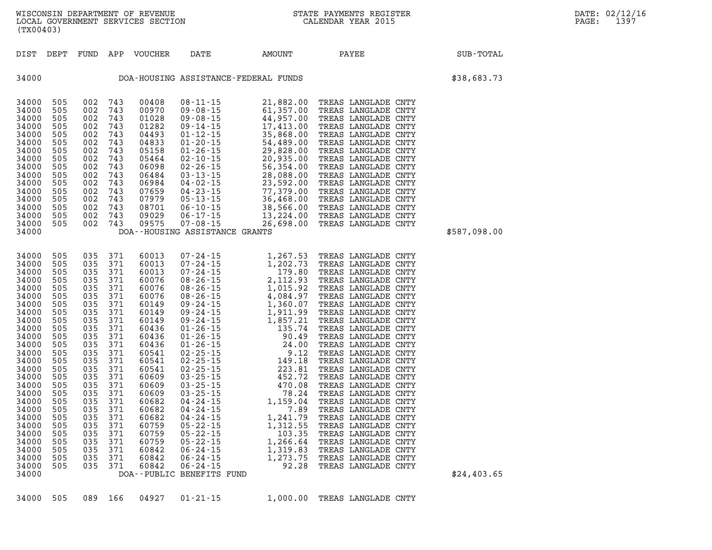| 34000 505 089 166 04927 01-21-15<br>1,000.00 TREAS LANGLADE CNTY |  |  |  |  |  |  |  |  |  |  |
|------------------------------------------------------------------|--|--|--|--|--|--|--|--|--|--|
|------------------------------------------------------------------|--|--|--|--|--|--|--|--|--|--|

| しェぃぃぃ<br>34000 | ے بات<br>505 | 002 | <u>ل ۱۳</u><br>743 | 09575 | 000 LI 10                                    | LO, AAT.OO IRURD DRINGURDD CNII<br>07-08-15 26,698.00 TREAS LANGLADE CNTY                                                                    |                     |              |
|----------------|--------------|-----|--------------------|-------|----------------------------------------------|----------------------------------------------------------------------------------------------------------------------------------------------|---------------------|--------------|
| 34000          |              |     |                    |       | DOA--HOUSING ASSISTANCE GRANTS               |                                                                                                                                              |                     | \$587,098.00 |
|                |              |     |                    |       |                                              |                                                                                                                                              |                     |              |
|                |              |     |                    |       |                                              |                                                                                                                                              |                     |              |
| 34000          | 505          | 035 | 371                | 60013 | $07 - 24 - 15$                               | 1,267.53                                                                                                                                     | TREAS LANGLADE CNTY |              |
| 34000          | 505          | 035 | 371                | 60013 | $07 - 24 - 15$                               | 1,202.73                                                                                                                                     | TREAS LANGLADE CNTY |              |
| 34000          | 505          | 035 | 371                | 60013 | $07 - 24 - 15$                               | 179.80                                                                                                                                       | TREAS LANGLADE CNTY |              |
| 34000          | 505          | 035 | 371                | 60076 | 08 - 26 - 15<br>08 - 26 - 15                 | 2,112.93                                                                                                                                     | TREAS LANGLADE CNTY |              |
| 34000          | 505          | 035 | 371                | 60076 |                                              | 1,015.92                                                                                                                                     | TREAS LANGLADE CNTY |              |
| 34000          | 505          | 035 | 371                | 60076 | 08-26-15                                     | 4,084.97                                                                                                                                     | TREAS LANGLADE CNTY |              |
| 34000          | 505          | 035 | 371                | 60149 |                                              | 1,360.07                                                                                                                                     | TREAS LANGLADE CNTY |              |
| 34000          | 505          | 035 | 371                | 60149 | 09 - 24 - 15<br>09 - 24 - 15                 | 1,911.99                                                                                                                                     | TREAS LANGLADE CNTY |              |
| 34000          | 505          | 035 | 371                | 60149 | $09 - 24 - 15$                               | 1,857.21                                                                                                                                     | TREAS LANGLADE CNTY |              |
| 34000          | 505          | 035 | 371                | 60436 |                                              |                                                                                                                                              | TREAS LANGLADE CNTY |              |
| 34000          | 505          | 035 | 371                | 60436 |                                              |                                                                                                                                              | TREAS LANGLADE CNTY |              |
| 34000          | 505          | 035 | 371                | 60436 |                                              |                                                                                                                                              | TREAS LANGLADE CNTY |              |
| 34000          | 505          | 035 | 371                | 60541 |                                              | $01 - 26 - 15$<br>$01 - 26 - 15$<br>$01 - 26 - 15$<br>$02 - 25 - 15$<br>$03 - 25 - 15$<br>$04 - 26 - 15$<br>$06 - 24 - 20$<br>$07 - 25 - 15$ | TREAS LANGLADE CNTY |              |
| 34000          | 505          | 035 | 371                | 60541 | 02-25-15                                     | 149.18                                                                                                                                       | TREAS LANGLADE CNTY |              |
| 34000          | 505          | 035 | 371                | 60541 | $02 - 25 - 15$                               | 223.81                                                                                                                                       | TREAS LANGLADE CNTY |              |
| 34000          | 505          | 035 | 371                | 60609 | $03 - 25 - 15$                               | 452.72                                                                                                                                       | TREAS LANGLADE CNTY |              |
| 34000          | 505          | 035 | 371                | 60609 | $03 - 25 - 15$                               | 470.08                                                                                                                                       | TREAS LANGLADE CNTY |              |
| 34000          | 505          | 035 | 371                | 60609 |                                              | $03 - 25 - 15$<br>04 - 24 - 15 1, 159.04                                                                                                     | TREAS LANGLADE CNTY |              |
| 34000          | 505          | 035 | 371                | 60682 | $04 - 24 - 15$<br>04 - 24 - 15               |                                                                                                                                              | TREAS LANGLADE CNTY |              |
| 34000          | 505          | 035 | 371                | 60682 |                                              | 7.89                                                                                                                                         | TREAS LANGLADE CNTY |              |
| 34000          | 505          | 035 | 371                | 60682 | 04-24-15                                     | 1,241.79                                                                                                                                     | TREAS LANGLADE CNTY |              |
| 34000          | 505          | 035 | 371                | 60759 |                                              | 1,312.55                                                                                                                                     | TREAS LANGLADE CNTY |              |
| 34000          | 505          | 035 | 371                | 60759 | 05 - 22 - 15<br>05 - 22 - 15<br>05 - 22 - 15 | 103.35                                                                                                                                       | TREAS LANGLADE CNTY |              |
| 34000          | 505          | 035 | 371                | 60759 |                                              | 1,266.64                                                                                                                                     | TREAS LANGLADE CNTY |              |
| 34000          | 505          | 035 | 371                | 60842 | $06 - 24 - 15$                               | 1,319.83                                                                                                                                     | TREAS LANGLADE CNTY |              |
| 34000          | 505          | 035 | 371                | 60842 |                                              | 1,273.75                                                                                                                                     | TREAS LANGLADE CNTY |              |
| 34000          | 505          | 035 | 371                |       |                                              | 92.28                                                                                                                                        | TREAS LANGLADE CNTY |              |
| 34000          |              |     |                    |       | DOA--PUBLIC BENEFITS FUND                    |                                                                                                                                              |                     | \$24,403.65  |
|                |              |     |                    |       |                                              |                                                                                                                                              |                     |              |

**34000 DOA-HOUSING ASSISTANCE-FEDERAL FUNDS \$38,683.73 34000 505 002 743 00408 08-11-15 21,882.00 TREAS LANGLADE CNTY 34000 505 002 743 00970 09-08-15 61,357.00 TREAS LANGLADE CNTY 34000 505 002 743 01028 09-08-15 44,957.00 TREAS LANGLADE CNTY 34000 505 002 743 01282 09-14-15 17,413.00 TREAS LANGLADE CNTY 34000 505 002 743 04493 01-12-15 35,868.00 TREAS LANGLADE CNTY 34000 505 002 743 04833 01-20-15 54,489.00 TREAS LANGLADE CNTY 34000 505 002 743 05158 01-26-15 29,828.00 TREAS LANGLADE CNTY 34000 505 002 743 05464 02-10-15 20,935.00 TREAS LANGLADE CNTY 34000 505 002 743 06098 02-26-15 56,354.00 TREAS LANGLADE CNTY 34000 505 002 743 06484 03-13-15 28,088.00 TREAS LANGLADE CNTY 34000 505 002 743 06984 04-02-15 23,592.00 TREAS LANGLADE CNTY 34000 505 002 743 07659 04-23-15 77,379.00 TREAS LANGLADE CNTY 34000 505 002 743 07979 05-13-15 36,468.00 TREAS LANGLADE CNTY 34000 505 002 743 08701 06-10-15 38,566.00 TREAS LANGLADE CNTY 34000 505 002 743 09029 06-17-15 13,224.00 TREAS LANGLADE CNTY 34000 505 002 743 09575 07-08-15 26,698.00 TREAS LANGLADE CNTY 34000 DOA--HOUSING ASSISTANCE GRANTS \$587,098.00** 

**DIST DEPT FUND APP VOUCHER DATE AMOUNT PAYEE SUB-TOTAL** 

wisconsin department of revenue<br>In the State Payments Register (Search Captus Communicated Captus Calendar Year 2015<br>Data Government Services Section LOCAL GOVERNMENT SERVICES SECTION **(TX00403)**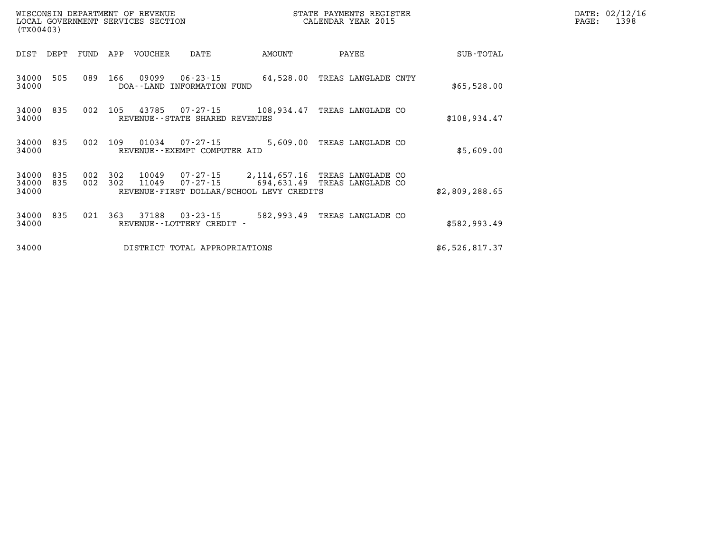| (TX00403)      |      |      |     | WISCONSIN DEPARTMENT OF REVENUE<br>LOCAL GOVERNMENT SERVICES SECTION |                                              |            | STATE PAYMENTS REGISTER<br>CALENDAR YEAR 2015 |             | PAGE: | DATE: 02/12/16<br>1398 |
|----------------|------|------|-----|----------------------------------------------------------------------|----------------------------------------------|------------|-----------------------------------------------|-------------|-------|------------------------|
| DIST           | DEPT | FUND | APP | <b>VOUCHER</b>                                                       | DATE                                         | AMOUNT     | PAYEE                                         | SUB-TOTAL   |       |                        |
| 34000<br>34000 | 505  | 089  | 166 | 09099                                                                | $06 - 23 - 15$<br>DOA--LAND INFORMATION FUND | 64,528.00  | TREAS LANGLADE CNTY                           | \$65,528.00 |       |                        |
| 34000<br>31000 | 835  | 002  | 105 | 43785                                                                | 07-27-15<br>PEVENIIE--STATE SHAPE DEVENIIES  | 108,934.47 | TREAS LANGLADE CO                             | $\&108917$  |       |                        |

| DIST                    | DEPT       | FUND       | APP        | VOUCHER               | DATE                                                | AMOUNT                                                                 |       | PAYEE                            | SUB-TOTAL      |
|-------------------------|------------|------------|------------|-----------------------|-----------------------------------------------------|------------------------------------------------------------------------|-------|----------------------------------|----------------|
| 34000<br>34000          | 505        | 089        | 166        | 09099<br>DOA - - LAND | $06 - 23 - 15$<br>INFORMATION FUND                  | 64,528.00                                                              |       | TREAS LANGLADE CNTY              | \$65,528.00    |
| 34000<br>34000          | 835        | 002        | 105        | 43785                 | $07 - 27 - 15$<br>REVENUE - - STATE SHARED REVENUES | 108,934.47                                                             |       | TREAS LANGLADE CO                | \$108,934.47   |
| 34000<br>34000          | 835        | 002        | 109        | 01034                 | $07 - 27 - 15$<br>REVENUE--EXEMPT COMPUTER AID      | 5,609.00                                                               | TREAS | LANGLADE CO                      | \$5,609.00     |
| 34000<br>34000<br>34000 | 835<br>835 | 002<br>002 | 302<br>302 | 10049<br>11049        | 07-27-15<br>07-27-15                                | 2,114,657.16<br>694,631.49<br>REVENUE-FIRST DOLLAR/SCHOOL LEVY CREDITS | TREAS | TREAS LANGLADE CO<br>LANGLADE CO | \$2,809,288.65 |
| 34000<br>34000          | 835        | 021        | 363        | 37188                 | $03 - 23 - 15$<br>REVENUE - - LOTTERY CREDIT -      | 582,993.49                                                             |       | TREAS LANGLADE CO                | \$582,993.49   |
| 34000                   |            |            |            |                       | DISTRICT TOTAL APPROPRIATIONS                       |                                                                        |       |                                  | \$6,526,817.37 |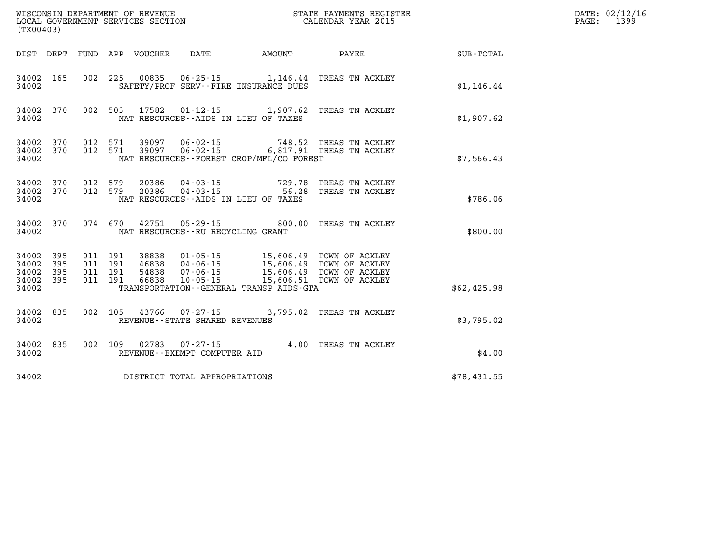| (TX00403)                                     |                        |                                          |       |                                      |                                              | WISCONSIN DEPARTMENT OF REVENUE<br>LOCAL GOVERNMENT SERVICES SECTION<br>CALENDAR YEAR 2015                                                                                           |                                                    | DATE: 02/12/16<br>PAGE: 1399 |
|-----------------------------------------------|------------------------|------------------------------------------|-------|--------------------------------------|----------------------------------------------|--------------------------------------------------------------------------------------------------------------------------------------------------------------------------------------|----------------------------------------------------|------------------------------|
|                                               |                        |                                          |       |                                      |                                              |                                                                                                                                                                                      | DIST DEPT FUND APP VOUCHER DATE AMOUNT PAYEE TOTAL |                              |
| 34002                                         | 34002 165              |                                          |       |                                      | SAFETY/PROF SERV--FIRE INSURANCE DUES        | 002 225 00835 06-25-15 1,146.44 TREAS TN ACKLEY                                                                                                                                      | \$1,146.44                                         |                              |
| 34002                                         | 34002 370              |                                          |       |                                      | NAT RESOURCES--AIDS IN LIEU OF TAXES         | 002 503 17582 01-12-15 1,907.62 TREAS TN ACKLEY                                                                                                                                      | \$1,907.62                                         |                              |
| 34002                                         | 34002 370<br>34002 370 |                                          |       |                                      | NAT RESOURCES--FOREST CROP/MFL/CO FOREST     | 012 571 39097 06-02-15 748.52 TREAS TN ACKLEY<br>012 571 39097 06-02-15 6,817.91 TREAS TN ACKLEY                                                                                     | \$7,566.43                                         |                              |
| 34002                                         | 34002 370<br>34002 370 |                                          |       |                                      | NAT RESOURCES--AIDS IN LIEU OF TAXES         | 012 579  20386  04-03-15  729.78  TREAS TN ACKLEY<br>012 579  20386  04-03-15  56.28  TREAS TN ACKLEY                                                                                | \$786.06                                           |                              |
| 34002                                         | 34002 370              |                                          |       | NAT RESOURCES - - RU RECYCLING GRANT |                                              | 074 670 42751 05-29-15 800.00 TREAS TN ACKLEY                                                                                                                                        | \$800.00                                           |                              |
| 34002<br>34002<br>34002<br>34002 395<br>34002 | 395<br>395<br>395      | 011 191<br>011 191<br>011 191<br>011 191 | 38838 | 54838 07-06-15<br>66838 10-05-15     | TRANSPORTATION - - GENERAL TRANSP AIDS - GTA | 38838  01-05-15  15,606.49  TOWN OF ACKLEY<br>46838  04-06-15  15,606.49  TOWN OF ACKLEY<br>54838  07-06-15  15,606.49  TOWN OF ACKLEY<br>66838  10-05-15  15,606.51  TOWN OF ACKLEY | \$62,425.98                                        |                              |
| 34002                                         | 34002 835              |                                          |       | REVENUE - - STATE SHARED REVENUES    |                                              | 002 105 43766 07-27-15 3,795.02 TREAS TN ACKLEY                                                                                                                                      | \$3,795.02                                         |                              |
| 34002                                         | 34002 835              |                                          |       |                                      |                                              | 002 109 02783 07-27-15 4.00 TREAS TN ACKLEY<br>REVENUE--EXEMPT COMPITTER ATD                                                                                                         | \$4.00                                             |                              |
| 34002                                         |                        |                                          |       | DISTRICT TOTAL APPROPRIATIONS        |                                              |                                                                                                                                                                                      | \$78,431.55                                        |                              |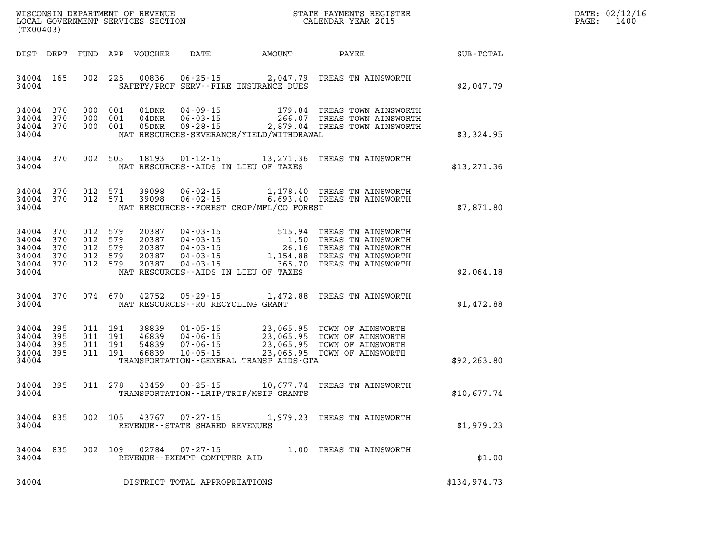| $\mathtt{DATE}$ : | 02/12/16 |
|-------------------|----------|
| PAGE:             | 1400     |

| (TX00403)                                             |                                |     |                                                     | LOCAL GOVERNMENT SERVICES SECTION         |                                                     |                                              | CALENDAR YEAR 2015                                                                                                                                                                                             |              | PAGE: | 1400 |
|-------------------------------------------------------|--------------------------------|-----|-----------------------------------------------------|-------------------------------------------|-----------------------------------------------------|----------------------------------------------|----------------------------------------------------------------------------------------------------------------------------------------------------------------------------------------------------------------|--------------|-------|------|
|                                                       |                                |     |                                                     |                                           |                                                     |                                              | DIST DEPT FUND APP VOUCHER DATE AMOUNT PAYEE TO SUB-TOTAL                                                                                                                                                      |              |       |      |
| 34004                                                 | 34004 165                      |     |                                                     |                                           |                                                     | SAFETY/PROF SERV--FIRE INSURANCE DUES        | 002 225 00836 06-25-15 2,047.79 TREAS TN AINSWORTH                                                                                                                                                             | \$2,047.79   |       |      |
| 34004 370<br>34004 370<br>34004                       | 34004 370                      |     | 000 001<br>000 001<br>000 001                       |                                           |                                                     | NAT RESOURCES-SEVERANCE/YIELD/WITHDRAWAL     |                                                                                                                                                                                                                | \$3,324.95   |       |      |
| 34004                                                 |                                |     |                                                     |                                           |                                                     | NAT RESOURCES--AIDS IN LIEU OF TAXES         | 34004 370 002 503 18193 01-12-15 13,271.36 TREAS TN AINSWORTH                                                                                                                                                  | \$13,271.36  |       |      |
| 34004                                                 |                                |     |                                                     |                                           |                                                     | NAT RESOURCES--FOREST CROP/MFL/CO FOREST     | $\begin{array}{cccccc} 34004 & 370 & 012 & 571 & 39098 & 06-02-15 & & 1,178.40 & \text{TREAS TN AINSWORTH} \\ 34004 & 370 & 012 & 571 & 39098 & 06-02-15 & & 6,693.40 & \text{TREAS TN AINSWORTH} \end{array}$ | \$7,871.80   |       |      |
| 34004 370<br>34004<br>34004<br>34004<br>34004         | 370<br>370<br>370<br>34004 370 |     | 012 579<br>012 579<br>012 579<br>012 579<br>012 579 | 20387<br>20387<br>20387<br>20387<br>20387 |                                                     | NAT RESOURCES--AIDS IN LIEU OF TAXES         |                                                                                                                                                                                                                | \$2,064.18   |       |      |
| 34004                                                 | 34004 370                      |     | 074 670                                             | 42752                                     | NAT RESOURCES--RU RECYCLING GRANT                   |                                              | 05-29-15 1,472.88 TREAS TN AINSWORTH                                                                                                                                                                           | \$1,472.88   |       |      |
| 34004 395<br>34004<br>34004 395<br>34004 395<br>34004 | 395                            |     | 011 191<br>011 191<br>011 191<br>011 191            | 54839                                     |                                                     | TRANSPORTATION - - GENERAL TRANSP AIDS - GTA | 38839  01-05-15  23,065.95  TOWN OF AINSWORTH<br>46839  04-06-15  23,065.95  TOWN OF AINSWORTH<br>54839  07-06-15  23,065.95  TOWN OF AINSWORTH<br>66839  10-05-15  23,065.95  TOWN OF AINSWORTH               | \$92, 263.80 |       |      |
| 34004                                                 | 34004 395                      |     |                                                     |                                           |                                                     | TRANSPORTATION - - LRIP/TRIP/MSIP GRANTS     | 011 278 43459 03-25-15 10,677.74 TREAS TN AINSWORTH                                                                                                                                                            | \$10,677.74  |       |      |
| 34004                                                 | 34004 835 002 105              |     |                                                     | 43767                                     | $07 - 27 - 15$<br>REVENUE - - STATE SHARED REVENUES |                                              | 1,979.23 TREAS TN AINSWORTH                                                                                                                                                                                    | \$1,979.23   |       |      |
| 34004<br>34004                                        | 835                            | 002 | 109                                                 | 02784                                     | $07 - 27 - 15$<br>REVENUE--EXEMPT COMPUTER AID      |                                              | 1.00 TREAS TN AINSWORTH                                                                                                                                                                                        | \$1.00       |       |      |
| 34004                                                 |                                |     |                                                     |                                           | DISTRICT TOTAL APPROPRIATIONS                       |                                              |                                                                                                                                                                                                                | \$134,974.73 |       |      |

WISCONSIN DEPARTMENT OF REVENUE **STATE PAYMENTS REGISTER**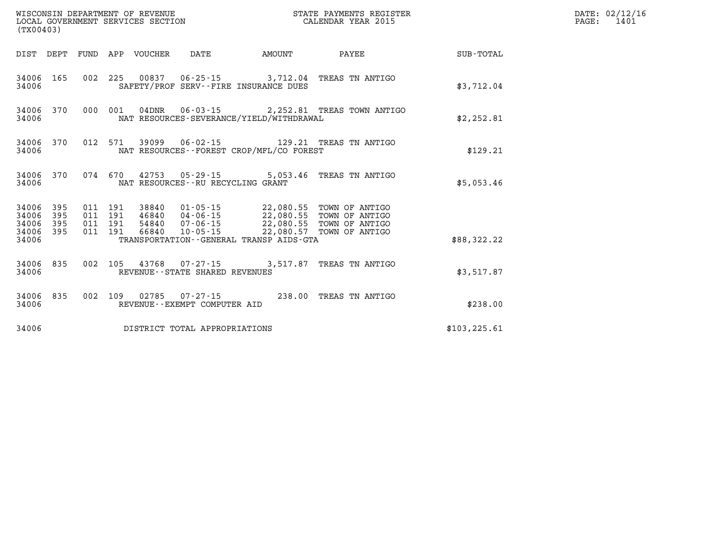| (TX00403)                        |                          |         |                  |                                   |                                                                                                                                                                                                                                                                                                                                                   |                                                 |               | DATE: 02/12/16<br>$\mathtt{PAGE}$ :<br>1401 |
|----------------------------------|--------------------------|---------|------------------|-----------------------------------|---------------------------------------------------------------------------------------------------------------------------------------------------------------------------------------------------------------------------------------------------------------------------------------------------------------------------------------------------|-------------------------------------------------|---------------|---------------------------------------------|
|                                  | DIST DEPT                |         | FUND APP VOUCHER | DATE                              | <b>EXAMPLE THE AMOUNT</b>                                                                                                                                                                                                                                                                                                                         | <b>PAYEE</b> PAYEE                              | SUB-TOTAL     |                                             |
| 34006 165<br>34006               |                          |         |                  |                                   | SAFETY/PROF SERV--FIRE INSURANCE DUES                                                                                                                                                                                                                                                                                                             | 002 225 00837 06-25-15 3,712.04 TREAS TN ANTIGO | \$3,712.04    |                                             |
| 34006<br>34006                   | 370                      | 000 001 |                  |                                   | NAT RESOURCES-SEVERANCE/YIELD/WITHDRAWAL                                                                                                                                                                                                                                                                                                          | 04DNR  06-03-15  2,252.81 TREAS TOWN ANTIGO     | \$2,252.81    |                                             |
| 34006<br>34006                   | 370                      |         |                  |                                   | NAT RESOURCES - - FOREST CROP/MFL/CO FOREST                                                                                                                                                                                                                                                                                                       | 012 571 39099 06-02-15 129.21 TREAS TN ANTIGO   | \$129.21      |                                             |
| 34006<br>34006                   | 370                      |         |                  | NAT RESOURCES--RU RECYCLING GRANT |                                                                                                                                                                                                                                                                                                                                                   | 074 670 42753 05-29-15 5,053.46 TREAS TN ANTIGO | \$5,053.46    |                                             |
| 34006<br>34006<br>34006<br>34006 | 395<br>395<br>395<br>395 |         |                  |                                   | $\begin{array}{cccc} 011 & 191 & 38840 & 01\texttt{-}05\texttt{-}15 & 22,080.55 & \texttt{TOWN OF ANTIGO} \\ 011 & 191 & 46840 & 04\texttt{-}06\texttt{-}15 & 22,080.55 & \texttt{TOWN OF ANTIGO} \\ 011 & 191 & 54840 & 07\texttt{-}06\texttt{-}15 & 22,080.55 & \texttt{TOWN OF ANTIGO} \\ 011 & 191 & 66840 & 10\texttt{-}05\texttt{-}15 & 22$ |                                                 |               |                                             |
| 34006                            |                          |         |                  |                                   | TRANSPORTATION--GENERAL TRANSP AIDS-GTA                                                                                                                                                                                                                                                                                                           |                                                 | \$88,322.22   |                                             |
| 34006<br>34006                   | 835                      |         |                  | REVENUE - - STATE SHARED REVENUES |                                                                                                                                                                                                                                                                                                                                                   | 002 105 43768 07-27-15 3,517.87 TREAS TN ANTIGO | \$3,517.87    |                                             |
| 34006<br>34006                   | 835                      |         |                  | REVENUE--EXEMPT COMPUTER AID      |                                                                                                                                                                                                                                                                                                                                                   | 002 109 02785 07-27-15 238.00 TREAS TN ANTIGO   | \$238.00      |                                             |
| 34006                            |                          |         |                  | DISTRICT TOTAL APPROPRIATIONS     |                                                                                                                                                                                                                                                                                                                                                   |                                                 | \$103, 225.61 |                                             |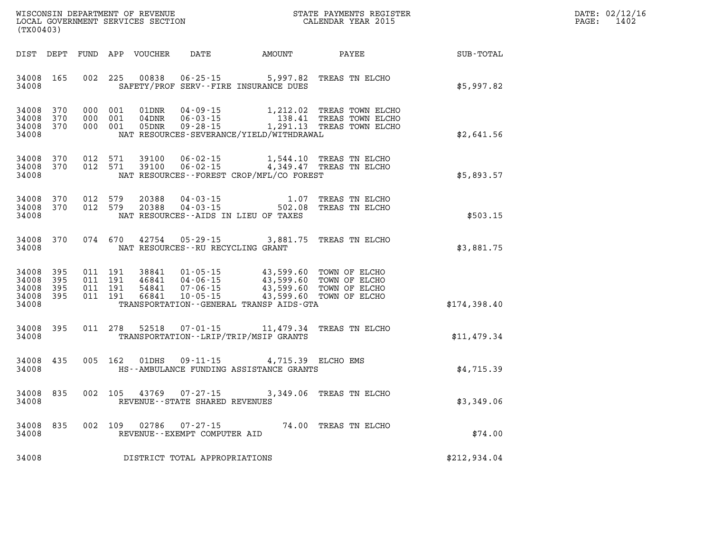| WISCONSIN DEPARTMENT OF REVENUE      | PAYMENTS REGISTER<br>3TATE | DATE: | 02/12/16 |
|--------------------------------------|----------------------------|-------|----------|
| GOVERNMENT SERVICES SECTION<br>LOCAL | CALENDAR YEAR 2015         | PAGE  | 1402     |

| (TX00403)                                 |                          |     |                                          | LOCAL GOVERNMENT SERVICES SECTION |                                                | CALENDAR YEAR 2015                                                                                                                                                                           |                           |              | PAGE: | 1402 |
|-------------------------------------------|--------------------------|-----|------------------------------------------|-----------------------------------|------------------------------------------------|----------------------------------------------------------------------------------------------------------------------------------------------------------------------------------------------|---------------------------|--------------|-------|------|
|                                           |                          |     |                                          |                                   |                                                |                                                                                                                                                                                              |                           |              |       |      |
| 34008 165<br>34008                        |                          |     | 002 225                                  | 00838                             |                                                | 06-25-15 5,997.82 TREAS TN ELCHO<br>SAFETY/PROF SERV--FIRE INSURANCE DUES                                                                                                                    |                           | \$5,997.82   |       |      |
| 34008 370<br>34008<br>34008<br>34008      | 370<br>370               | 000 | 000 001<br>000 001<br>001                | 01DNR<br>04DNR<br>05DNR           | $04 - 09 - 15$                                 | 06-03-15 138.41 TREAS TOWN ELCHO<br>09-28-15 1,291.13 TREAS TOWN ELCHO<br>NAT RESOURCES-SEVERANCE/YIELD/WITHDRAWAL                                                                           | 1,212.02 TREAS TOWN ELCHO | \$2,641.56   |       |      |
| 34008 370<br>34008<br>34008               | 370                      |     | 012 571<br>012 571                       | 39100<br>39100                    |                                                | 06-02-15 1,544.10 TREAS TN ELCHO<br>06-02-15 4,349.47 TREAS TN ELCHO<br>NAT RESOURCES--FOREST CROP/MFL/CO FOREST                                                                             |                           | \$5,893.57   |       |      |
| 34008<br>34008<br>34008                   | 370<br>370               |     | 012 579<br>012 579                       | 20388<br>20388                    |                                                | 04-03-15 1.07 TREAS TN ELCHO<br>04-03-15 502.08 TREAS TN ELCHO<br>NAT RESOURCES -- AIDS IN LIEU OF TAXES                                                                                     |                           | \$503.15     |       |      |
| 34008 370<br>34008                        |                          |     |                                          | 074 670 42754                     | NAT RESOURCES--RU RECYCLING GRANT              | 05-29-15 3,881.75 TREAS TN ELCHO                                                                                                                                                             |                           | \$3,881.75   |       |      |
| 34008<br>34008<br>34008<br>34008<br>34008 | 395<br>395<br>395<br>395 |     | 011 191<br>011 191<br>011 191<br>011 191 | 38841<br>46841<br>54841<br>66841  |                                                | 01-05-15 43,599.60 TOWN OF ELCHO<br>04-06-15 43,599.60 TOWN OF ELCHO<br>07-06-15 43,599.60 TOWN OF ELCHO<br>10-05-15 43,599.60 TOWN OF ELCHO<br>TRANSPORTATION - - GENERAL TRANSP AIDS - GTA |                           | \$174,398.40 |       |      |
| 34008 395<br>34008                        |                          |     |                                          | 011 278 52518                     |                                                | 07-01-15 11,479.34 TREAS TN ELCHO<br>TRANSPORTATION - - LRIP/TRIP/MSIP GRANTS                                                                                                                |                           | \$11,479.34  |       |      |
| 34008 435<br>34008                        |                          |     | 005 162                                  | 01DHS                             |                                                | 09-11-15 4,715.39 ELCHO EMS<br>HS--AMBULANCE FUNDING ASSISTANCE GRANTS                                                                                                                       |                           | \$4,715.39   |       |      |
| 34008<br>34008                            | 835                      |     |                                          |                                   | REVENUE - - STATE SHARED REVENUES              | 002 105 43769 07-27-15 3,349.06 TREAS TN ELCHO                                                                                                                                               |                           | \$3,349.06   |       |      |
| 34008 835<br>34008                        |                          |     | 002 109                                  | 02786                             | $07 - 27 - 15$<br>REVENUE--EXEMPT COMPUTER AID | 74.00 TREAS TN ELCHO                                                                                                                                                                         |                           | \$74.00      |       |      |
| 34008                                     |                          |     |                                          |                                   | DISTRICT TOTAL APPROPRIATIONS                  |                                                                                                                                                                                              |                           | \$212,934.04 |       |      |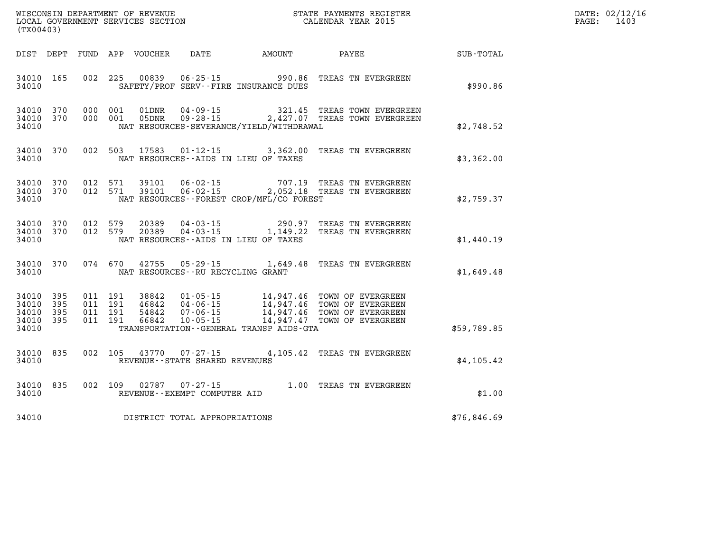| (TX00403) |                                                  |  |  |  |                                         |                                              |                                                                                                                                                                                                                      |             | DATE: 02/12/16<br>PAGE: 1403 |
|-----------|--------------------------------------------------|--|--|--|-----------------------------------------|----------------------------------------------|----------------------------------------------------------------------------------------------------------------------------------------------------------------------------------------------------------------------|-------------|------------------------------|
|           |                                                  |  |  |  |                                         |                                              | DIST DEPT FUND APP VOUCHER DATE AMOUNT PAYEE TOTAL                                                                                                                                                                   |             |                              |
|           |                                                  |  |  |  |                                         | 34010 SAFETY/PROF SERV--FIRE INSURANCE DUES  | 34010 165 002 225 00839 06-25-15 990.86 TREAS TN EVERGREEN                                                                                                                                                           | \$990.86    |                              |
| 34010     |                                                  |  |  |  |                                         | NAT RESOURCES - SEVERANCE/YIELD/WITHDRAWAL   | $34010$ 370 000 001 01DNR 04-09-15 321.45 TREAS TOWN EVERGREEN 34010 370 000 001 05DNR 09-28-15 2,427.07 TREAS TOWN EVERGREEN                                                                                        | \$2,748.52  |                              |
| 34010     |                                                  |  |  |  |                                         | NAT RESOURCES--AIDS IN LIEU OF TAXES         | 34010 370 002 503 17583 01-12-15 3,362.00 TREAS TN EVERGREEN                                                                                                                                                         | \$3,362.00  |                              |
|           | 34010                                            |  |  |  |                                         | NAT RESOURCES -- FOREST CROP/MFL/CO FOREST   | 34010 370 012 571 39101 06-02-15 707.19 TREAS TN EVERGREEN 34010 370 012 571 39101 06-02-15 2,052.18 TREAS TN EVERGREEN                                                                                              | \$2,759.37  |                              |
| 34010     |                                                  |  |  |  |                                         | NAT RESOURCES--AIDS IN LIEU OF TAXES         | 34010 370 012 579 20389 04-03-15 290.97 TREAS TN EVERGREEN 34010 370 012 579 20389 04-03-15 1,149.22 TREAS TN EVERGREEN                                                                                              | \$1,440.19  |                              |
|           |                                                  |  |  |  | 34010 NAT RESOURCES--RU RECYCLING GRANT |                                              | 34010 370 074 670 42755 05-29-15 1,649.48 TREAS TN EVERGREEN                                                                                                                                                         | \$1,649.48  |                              |
| 34010     | 34010 395<br>34010 395<br>34010 395<br>34010 395 |  |  |  |                                         | TRANSPORTATION - - GENERAL TRANSP AIDS - GTA | 011 191 38842 01-05-15 14,947.46 TOWN OF EVERGREEN<br>011 191 46842 04-06-15 14,947.46 TOWN OF EVERGREEN<br>011 191 54842 07-06-15 14,947.46 TOWN OF EVERGREEN<br>011 191 66842 10-05-15 14,947.47 TOWN OF EVERGREEN | \$59,789.85 |                              |
|           |                                                  |  |  |  |                                         | 34010 REVENUE - - STATE SHARED REVENUES      | 34010 835 002 105 43770 07-27-15 4,105.42 TREAS TN EVERGREEN                                                                                                                                                         | \$4,105.42  |                              |
| 34010     |                                                  |  |  |  | REVENUE--EXEMPT COMPUTER AID            |                                              | 34010 835 002 109 02787 07-27-15 1.00 TREAS TN EVERGREEN                                                                                                                                                             | \$1.00      |                              |

**34010 DISTRICT TOTAL APPROPRIATIONS \$76,846.69**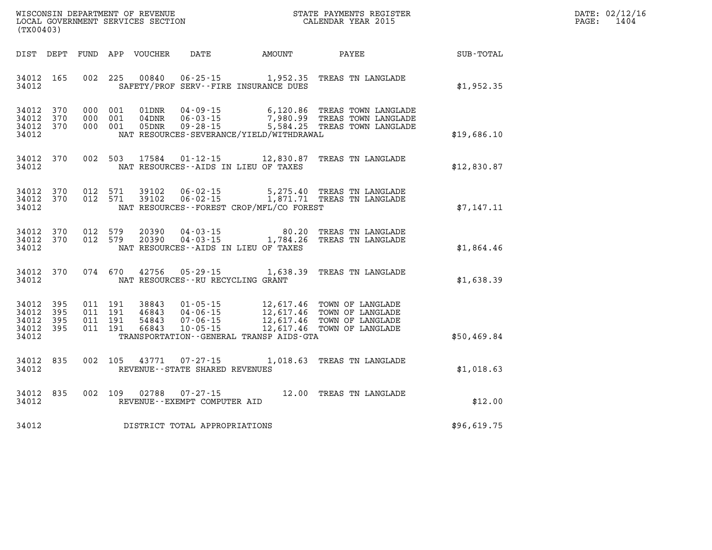| WISCONSIN DEPARTMENT OF REVENUE   | STATE PAYMENTS REGISTER |      | DATE: 02/12/16 |
|-----------------------------------|-------------------------|------|----------------|
| LOCAL GOVERNMENT SERVICES SECTION | CALENDAR YEAR 2015      | PAGE | 1404           |

| (TX00403)                                                             |                          |                                                              |                                                                          |                                                                                                  |                                                                              |             |
|-----------------------------------------------------------------------|--------------------------|--------------------------------------------------------------|--------------------------------------------------------------------------|--------------------------------------------------------------------------------------------------|------------------------------------------------------------------------------|-------------|
| DIST<br>DEPT                                                          | FUND                     | APP<br><b>VOUCHER</b>                                        | <b>DATE</b>                                                              | <b>AMOUNT</b>                                                                                    | PAYEE                                                                        | SUB-TOTAL   |
| 34012<br>165<br>34012                                                 | 002                      | 225<br>00840                                                 | $06 - 25 - 15$<br>SAFETY/PROF SERV--FIRE INSURANCE DUES                  | 1,952.35                                                                                         | TREAS TN LANGLADE                                                            | \$1,952.35  |
| 370<br>34012<br>34012<br>370<br>34012<br>370<br>34012                 | 000<br>000<br>000        | 001<br>01DNR<br>001<br>04DNR<br>001<br>05DNR                 | $04 - 09 - 15$<br>$06 - 03 - 15$<br>$09 - 28 - 15$                       | 6,120.86<br>7,980.99<br>5,584.25<br>NAT RESOURCES-SEVERANCE/YIELD/WITHDRAWAL                     | TREAS TOWN LANGLADE<br>TREAS TOWN LANGLADE<br>TREAS TOWN LANGLADE            | \$19,686.10 |
| 370<br>34012<br>34012                                                 | 002                      | 503<br>17584                                                 | $01 - 12 - 15$<br>NAT RESOURCES -- AIDS IN LIEU OF TAXES                 | 12,830.87                                                                                        | TREAS TN LANGLADE                                                            | \$12,830.87 |
| 370<br>34012<br>34012<br>370<br>34012                                 | 012<br>012               | 571<br>39102<br>571<br>39102                                 | $06 - 02 - 15$<br>$06 - 02 - 15$                                         | 5,275.40<br>1,871.71<br>NAT RESOURCES--FOREST CROP/MFL/CO FOREST                                 | TREAS TN LANGLADE<br>TREAS TN LANGLADE                                       | \$7,147.11  |
| 370<br>34012<br>34012<br>370<br>34012                                 | 012<br>012               | 579<br>20390<br>579<br>20390                                 | $04 - 03 - 15$<br>$04 - 03 - 15$<br>NAT RESOURCES--AIDS IN LIEU OF TAXES | 80.20<br>1,784.26                                                                                | TREAS TN LANGLADE<br>TREAS TN LANGLADE                                       | \$1,864.46  |
| 34012<br>370<br>34012                                                 | 074                      | 670<br>42756                                                 | $05 - 29 - 15$<br>NAT RESOURCES - - RU RECYCLING GRANT                   | 1,638.39                                                                                         | TREAS TN LANGLADE                                                            | \$1,638.39  |
| 34012<br>395<br>34012<br>395<br>34012<br>395<br>34012<br>395<br>34012 | 011<br>011<br>011<br>011 | 191<br>38843<br>191<br>46843<br>191<br>54843<br>191<br>66843 | $01 - 05 - 15$<br>$04 - 06 - 15$<br>$07 - 06 - 15$<br>$10 - 05 - 15$     | 12,617.46<br>12,617.46<br>12,617.46<br>12,617.46<br>TRANSPORTATION - - GENERAL TRANSP AIDS - GTA | TOWN OF LANGLADE<br>TOWN OF LANGLADE<br>TOWN OF LANGLADE<br>TOWN OF LANGLADE | \$50,469.84 |
| 835<br>34012<br>34012                                                 | 002                      | 105<br>43771                                                 | $07 - 27 - 15$<br>REVENUE - - STATE SHARED REVENUES                      | 1,018.63                                                                                         | TREAS TN LANGLADE                                                            | \$1,018.63  |
| 835<br>34012<br>34012                                                 | 002                      | 109<br>02788                                                 | $07 - 27 - 15$<br>REVENUE--EXEMPT COMPUTER AID                           | 12.00                                                                                            | TREAS TN LANGLADE                                                            | \$12.00     |
| 34012                                                                 |                          |                                                              | DISTRICT TOTAL APPROPRIATIONS                                            |                                                                                                  |                                                                              | \$96,619.75 |

WISCONSIN DEPARTMENT OF REVENUE **STATE PAYMENTS REGISTER**<br>LOCAL GOVERNMENT SERVICES SECTION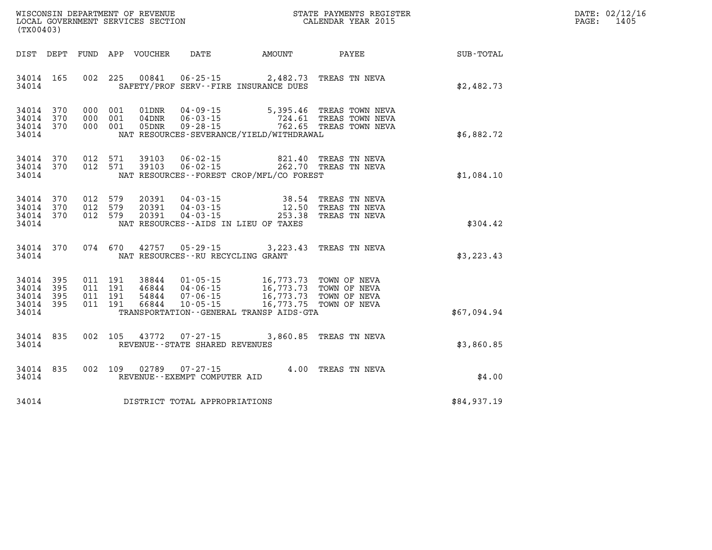| $\mathtt{DATE}$ : | 02/12/16 |
|-------------------|----------|
| PAGE:             | 1405     |

| WISCONSIN DEPARTMENT OF REVENUE<br>(TX00403)                                                      | LOCAL GOVERNMENT SERVICES SECTION                                                                                                                                               | STATE PAYMENTS REGISTER<br>CALENDAR YEAR 2015 |                                                                                  |             |  |
|---------------------------------------------------------------------------------------------------|---------------------------------------------------------------------------------------------------------------------------------------------------------------------------------|-----------------------------------------------|----------------------------------------------------------------------------------|-------------|--|
| DIST<br>DEPT<br><b>FUND</b>                                                                       | APP<br>VOUCHER<br><b>DATE</b>                                                                                                                                                   | <b>AMOUNT</b>                                 | PAYEE                                                                            | SUB-TOTAL   |  |
| 002<br>34014<br>165<br>34014                                                                      | 225<br>00841<br>SAFETY/PROF SERV--FIRE INSURANCE DUES                                                                                                                           |                                               | 06-25-15 2,482.73 TREAS TN NEVA                                                  | \$2,482.73  |  |
| 370<br>34014<br>000<br>34014<br>370<br>000<br>34014<br>370<br>000<br>34014                        | $04 - 09 - 15$<br>001<br>01DNR<br>001<br>$04$ DNR<br>$06 - 03 - 15$<br>001<br>05DNR<br>$09 - 28 - 15$<br>NAT RESOURCES-SEVERANCE/YIELD/WITHDRAWAL                               |                                               | 5,395.46 TREAS TOWN NEVA<br>724.61 TREAS TOWN NEVA<br>762.65 TREAS TOWN NEVA     | \$6,882.72  |  |
| 012<br>34014<br>370<br>012<br>34014<br>370<br>34014                                               | 571<br>39103<br>$06 - 02 - 15$<br>571<br>39103<br>$06 - 02 - 15$<br>NAT RESOURCES - - FOREST CROP/MFL/CO FOREST                                                                 | 821.40                                        | TREAS TN NEVA<br>262.70 TREAS TN NEVA                                            | \$1,084.10  |  |
| 370<br>012<br>34014<br>34014<br>370<br>012<br>34014<br>370<br>012<br>34014                        | 579<br>20391<br>$04 - 03 - 15$<br>579<br>20391<br>$04 - 03 - 15$<br>579<br>20391<br>$04 - 03 - 15$<br>NAT RESOURCES -- AIDS IN LIEU OF TAXES                                    | 38.54<br>12.50<br>253.38                      | TREAS TN NEVA<br>TREAS TN NEVA<br>TREAS TN NEVA                                  | \$304.42    |  |
| 370<br>074<br>34014<br>34014                                                                      | 670<br>42757 05-29-15 3,223.43<br>NAT RESOURCES - - RU RECYCLING GRANT                                                                                                          |                                               | TREAS TN NEVA                                                                    | \$3, 223.43 |  |
| 395<br>011<br>34014<br>34014<br>395<br>011<br>34014<br>395<br>011<br>34014<br>395<br>011<br>34014 | 191<br>38844<br>$01 - 05 - 15$<br>191<br>46844<br>$04 - 06 - 15$<br>191<br>54844<br>$07 - 06 - 15$<br>191<br>66844<br>$10 - 05 - 15$<br>TRANSPORTATION--GENERAL TRANSP AIDS-GTA | 16,773.73<br>16,773.75                        | 16,773.73 TOWN OF NEVA<br>16,773.73 TOWN OF NEVA<br>TOWN OF NEVA<br>TOWN OF NEVA | \$67,094.94 |  |
| 002<br>34014<br>835<br>34014                                                                      | 105<br>43772<br>$07 - 27 - 15$<br>REVENUE - - STATE SHARED REVENUES                                                                                                             | 3,860.85                                      | TREAS TN NEVA                                                                    | \$3,860.85  |  |
| 002<br>835<br>34014<br>34014                                                                      | 02789<br>109<br>$07 - 27 - 15$<br>REVENUE--EXEMPT COMPUTER AID                                                                                                                  | 4.00                                          | TREAS TN NEVA                                                                    | \$4.00      |  |
| 34014                                                                                             | DISTRICT TOTAL APPROPRIATIONS                                                                                                                                                   |                                               |                                                                                  | \$84,937.19 |  |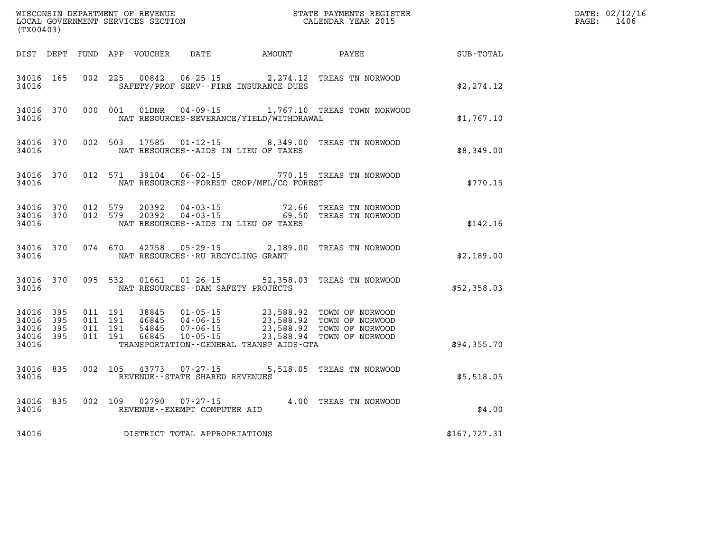| WISCONSIN DEPARTMENT OF REVENUE<br>LOCAL GOVERNMENT SERVICES SECTION<br>(TX00403) |                   |  |                                          |                                  |                                                  |                                                                         | STATE PAYMENTS REGISTER<br>CALENDAR YEAR 2015                                                                   |              | DATE: 02/12/16<br>PAGE:<br>1406 |
|-----------------------------------------------------------------------------------|-------------------|--|------------------------------------------|----------------------------------|--------------------------------------------------|-------------------------------------------------------------------------|-----------------------------------------------------------------------------------------------------------------|--------------|---------------------------------|
|                                                                                   |                   |  |                                          | DIST DEPT FUND APP VOUCHER       |                                                  | DATE AMOUNT PAYEE                                                       |                                                                                                                 | SUB-TOTAL    |                                 |
| 34016 165<br>34016                                                                |                   |  |                                          | 002 225 00842                    |                                                  | SAFETY/PROF SERV--FIRE INSURANCE DUES                                   | 06-25-15 2,274.12 TREAS TN NORWOOD                                                                              | \$2,274.12   |                                 |
| 34016<br>34016                                                                    | 370               |  | 000 001                                  | 01DNR                            | 04-09-15                                         | NAT RESOURCES-SEVERANCE/YIELD/WITHDRAWAL                                | 1,767.10 TREAS TOWN NORWOOD                                                                                     | \$1,767.10   |                                 |
| 34016<br>34016                                                                    | 370               |  | 002 503                                  | 17585                            |                                                  | NAT RESOURCES--AIDS IN LIEU OF TAXES                                    | 01-12-15 8,349.00 TREAS TN NORWOOD                                                                              | \$8,349.00   |                                 |
| 34016<br>34016                                                                    | 370               |  | 012 571                                  |                                  |                                                  | NAT RESOURCES--FOREST CROP/MFL/CO FOREST                                | 39104  06-02-15  770.15  TREAS TN NORWOOD                                                                       | \$770.15     |                                 |
| 34016<br>34016 370<br>34016                                                       | 370               |  | 012 579<br>012 579                       | 20392<br>20392                   | $04 - 03 - 15$                                   | $04 - 03 - 15$ 72.66<br>69.50<br>NAT RESOURCES -- AIDS IN LIEU OF TAXES | TREAS TN NORWOOD<br>TREAS TN NORWOOD                                                                            | \$142.16     |                                 |
| 34016<br>34016                                                                    | 370               |  | 074 670                                  | 42758                            | 05-29-15<br>NAT RESOURCES - - RU RECYCLING GRANT |                                                                         | 2,189.00 TREAS TN NORWOOD                                                                                       | \$2,189.00   |                                 |
| 34016 370<br>34016                                                                |                   |  | 095 532                                  | 01661                            | $01 - 26 - 15$                                   | NAT RESOURCES - - DAM SAFETY PROJECTS                                   | 52,358.03 TREAS TN NORWOOD                                                                                      | \$52,358.03  |                                 |
| 34016<br>34016<br>34016<br>34016 395<br>34016                                     | 395<br>395<br>395 |  | 011 191<br>011 191<br>011 191<br>011 191 | 38845<br>46845<br>54845<br>66845 | $04 - 06 - 15$<br>07 - 06 - 15<br>$10 - 05 - 15$ | 23,588.92<br>TRANSPORTATION--GENERAL TRANSP AIDS-GTA                    | 01-05-15 23,588.92 TOWN OF NORWOOD<br>23,588.92 TOWN OF NORWOOD<br>TOWN OF NORWOOD<br>23,588.94 TOWN OF NORWOOD | \$94,355.70  |                                 |
| 34016<br>34016                                                                    | 835               |  | 002 105                                  | 43773                            | $07 - 27 - 15$<br>REVENUE--STATE SHARED REVENUES |                                                                         | 5,518.05 TREAS TN NORWOOD                                                                                       | \$5,518.05   |                                 |
| 34016 835<br>34016                                                                |                   |  |                                          | 002 109 02790                    | 07-27-15<br>REVENUE--EXEMPT COMPUTER AID         |                                                                         | 4.00 TREAS TN NORWOOD                                                                                           | \$4.00       |                                 |
| 34016                                                                             |                   |  |                                          |                                  | DISTRICT TOTAL APPROPRIATIONS                    |                                                                         |                                                                                                                 | \$167,727.31 |                                 |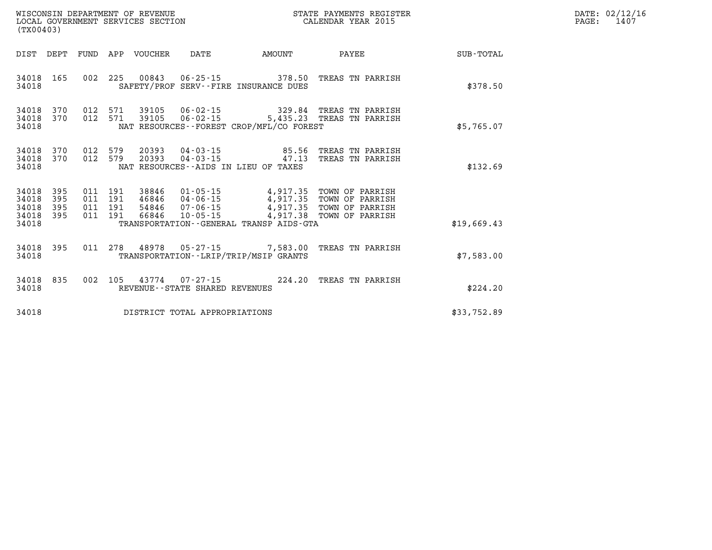| (TX00403)                                 |                          |         |                               | LOCAL GOVERNMENT SERVICES SECTION | WISCONSIN DEPARTMENT OF REVENUE                          |                                              | STATE PAYMENTS REGISTER<br>CALENDAR YEAR 2015                                                                                                                                        | DATE: 02/12/16<br>$\mathtt{PAGE}$ :<br>1407 |  |
|-------------------------------------------|--------------------------|---------|-------------------------------|-----------------------------------|----------------------------------------------------------|----------------------------------------------|--------------------------------------------------------------------------------------------------------------------------------------------------------------------------------------|---------------------------------------------|--|
| DIST DEPT                                 |                          |         |                               | FUND APP VOUCHER DATE             |                                                          | AMOUNT                                       | PAYEE                                                                                                                                                                                | SUB-TOTAL                                   |  |
| 34018                                     |                          |         |                               |                                   |                                                          | SAFETY/PROF SERV--FIRE INSURANCE DUES        | 34018 165 002 225 00843 06-25-15 378.50 TREAS TN PARRISH                                                                                                                             | \$378.50                                    |  |
| 34018<br>34018<br>34018                   | 370<br>370               |         | 012 571                       |                                   | 39105  06-02-15                                          | NAT RESOURCES--FOREST CROP/MFL/CO FOREST     | 012 571 39105 06-02-15 329.84 TREAS TN PARRISH<br>5,435.23 TREAS TN PARRISH                                                                                                          | \$5,765.07                                  |  |
| 34018<br>34018<br>34018                   |                          |         |                               |                                   |                                                          | NAT RESOURCES--AIDS IN LIEU OF TAXES         | 370 012 579 20393 04-03-15     85.56 TREAS TN PARRISH<br>370 012 579 20393 04-03-15     47.13 TREAS TN PARRISH                                                                       | \$132.69                                    |  |
| 34018<br>34018<br>34018<br>34018<br>34018 | 395<br>395<br>395<br>395 | 011 191 | 011 191<br>011 191<br>011 191 |                                   |                                                          | TRANSPORTATION - - GENERAL TRANSP AIDS - GTA | 38846  01-05-15  4,917.35  TOWN OF PARRISH<br>46846  04-06-15  4,917.35  TOWN OF PARRISH<br>54846  07-06-15  4,917.35  TOWN OF PARRISH<br>66846  10-05-15  4,917.38  TOWN OF PARRISH | \$19,669.43                                 |  |
| 34018                                     |                          |         |                               |                                   |                                                          | TRANSPORTATION - - LRIP/TRIP/MSIP GRANTS     | 34018 395 011 278 48978 05-27-15 7,583.00 TREAS TN PARRISH                                                                                                                           | \$7,583.00                                  |  |
| 34018                                     | 34018 835                |         |                               |                                   | 002 105 43774 07-27-15<br>REVENUE--STATE SHARED REVENUES |                                              | 224.20 TREAS TN PARRISH                                                                                                                                                              | \$224.20                                    |  |
| 34018                                     |                          |         |                               |                                   | DISTRICT TOTAL APPROPRIATIONS                            |                                              |                                                                                                                                                                                      | \$33,752.89                                 |  |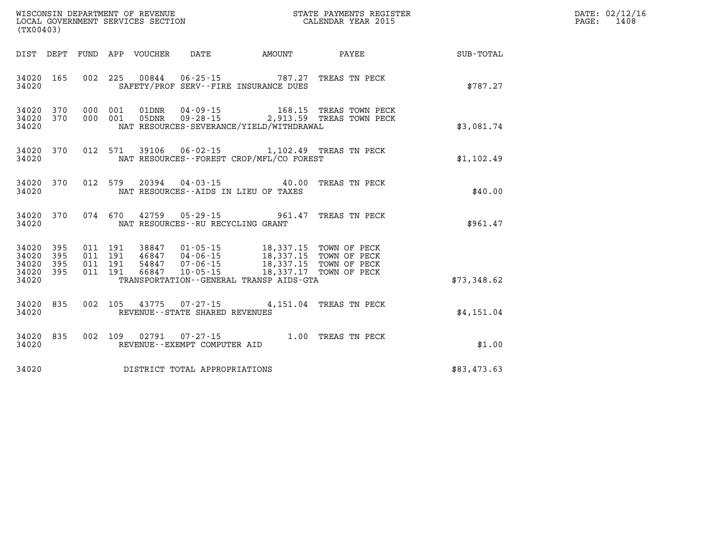| WISCONSIN DEPARTMENT OF REVENUE      | PAYMENTS REGISTER<br>3TATE | DATE: | 02/12/16 |
|--------------------------------------|----------------------------|-------|----------|
| GOVERNMENT SERVICES SECTION<br>LOCAL | CALENDAR YEAR 2015         | PAGE  | 1408     |

| (TX00403)                                    |           |  | LOCAL GOVERNMENT SERVICES SECTION |                                     |                                                                                                                                                                                                                                                  | CALENDAR YEAR 2015                                 | PAGE: | 1408 |
|----------------------------------------------|-----------|--|-----------------------------------|-------------------------------------|--------------------------------------------------------------------------------------------------------------------------------------------------------------------------------------------------------------------------------------------------|----------------------------------------------------|-------|------|
|                                              |           |  |                                   |                                     |                                                                                                                                                                                                                                                  | DIST DEPT FUND APP VOUCHER DATE AMOUNT PAYEE TOTAL |       |      |
| 34020                                        | 34020 165 |  |                                   |                                     | 002  225  00844  06-25-15  787.27  TREAS TN PECK<br>SAFETY/PROF SERV--FIRE INSURANCE DUES                                                                                                                                                        | \$787.27                                           |       |      |
| 34020                                        |           |  |                                   |                                     | $34020$ 370 000 001 01DNR 04-09-15 168.15 TREAS TOWN PECK<br>34020 370 000 001 05DNR 09-28-15 2,913.59 TREAS TOWN PECK<br>NAT RESOURCES-SEVERANCE/YIELD/WITHDRAWAL                                                                               | \$3,081.74                                         |       |      |
| 34020                                        |           |  |                                   |                                     | 34020 370 012 571 39106 06-02-15 1,102.49 TREAS TN PECK<br>NAT RESOURCES--FOREST CROP/MFL/CO FOREST                                                                                                                                              | \$1,102.49                                         |       |      |
| 34020                                        |           |  |                                   |                                     | 34020 370 012 579 20394 04-03-15 40.00 TREAS TN PECK<br>NAT RESOURCES--AIDS IN LIEU OF TAXES                                                                                                                                                     | \$40.00                                            |       |      |
| 34020 370                                    |           |  |                                   |                                     | 074 670 42759 05-29-15 961.47 TREAS TN PECK                                                                                                                                                                                                      | \$961.47                                           |       |      |
| 34020 395<br>34020 395<br>34020 395<br>34020 | 34020 395 |  |                                   |                                     | 011 191 38847 01-05-15 18,337.15 TOWN OF PECK<br>011 191 46847 04-06-15 18,337.15 TOWN OF PECK<br>011 191 54847 07-06-15 18,337.15 TOWN OF PECK<br>011 191 66847 10-05-15 18,337.17 TOWN OF PECK<br>TRANSPORTATION - - GENERAL TRANSP AIDS - GTA | \$73,348.62                                        |       |      |
| 34020 835<br>34020                           |           |  |                                   | REVENUE--STATE SHARED REVENUES      | 002 105 43775 07-27-15 4,151.04 TREAS TN PECK                                                                                                                                                                                                    | \$4,151.04                                         |       |      |
| 34020                                        |           |  |                                   | REVENUE--EXEMPT COMPUTER AID        | 34020 835 002 109 02791 07-27-15 1.00 TREAS TN PECK                                                                                                                                                                                              | \$1.00                                             |       |      |
|                                              |           |  |                                   | 34020 DISTRICT TOTAL APPROPRIATIONS |                                                                                                                                                                                                                                                  | \$83,473.63                                        |       |      |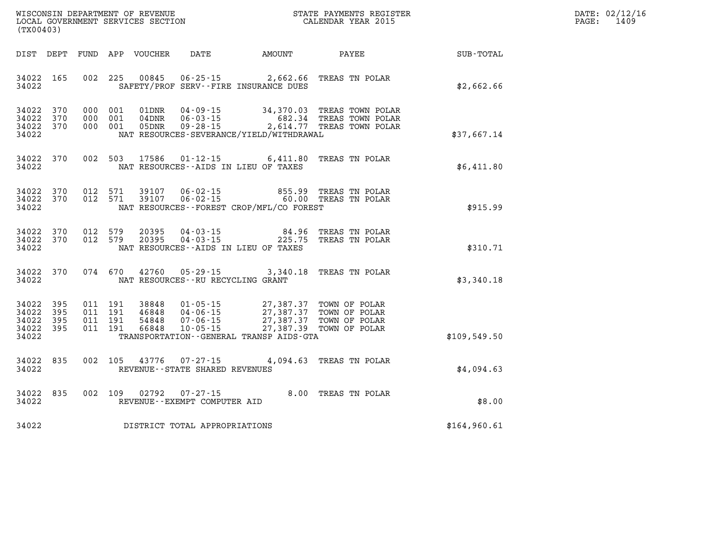| WISCONSIN DEPARTMENT OF REVENUE      | PAYMENTS REGISTER<br>3TATE | DATE: | 02/12/16 |
|--------------------------------------|----------------------------|-------|----------|
| GOVERNMENT SERVICES SECTION<br>LOCAL | CALENDAR YEAR 2015         | PAGE  | 1409     |

| (TX00403)                                                          |                               | LOCAL GOVERNMENT SERVICES SECTION                                                                                                                        | CALENDAR YEAR 2015                                                                                            |              | PAGE: | 1409 |
|--------------------------------------------------------------------|-------------------------------|----------------------------------------------------------------------------------------------------------------------------------------------------------|---------------------------------------------------------------------------------------------------------------|--------------|-------|------|
| DIST DEPT                                                          |                               | FUND APP VOUCHER                                                                                                                                         | DATE AMOUNT PAYEE                                                                                             | SUB-TOTAL    |       |      |
| 34022 165<br>34022                                                 |                               | 002 225<br>00845<br>SAFETY/PROF SERV--FIRE INSURANCE DUES                                                                                                | 06-25-15 2,662.66 TREAS TN POLAR                                                                              | \$2,662.66   |       |      |
| 34022<br>370<br>34022<br>370<br>34022<br>370<br>34022              | 000 001<br>000 001<br>000 001 | 01DNR<br>04DNR<br>05DNR<br>NAT RESOURCES-SEVERANCE/YIELD/WITHDRAWAL                                                                                      | 04-09-15 34,370.03 TREAS TOWN POLAR<br>06-03-15 682.34 TREAS TOWN POLAR<br>09-28-15 2,614.77 TREAS TOWN POLAR | \$37,667.14  |       |      |
| 34022<br>370<br>34022                                              | 002 503                       | 17586<br>NAT RESOURCES--AIDS IN LIEU OF TAXES                                                                                                            | 01-12-15 6,411.80 TREAS TN POLAR                                                                              | \$6,411.80   |       |      |
| 34022<br>370<br>34022<br>370<br>34022                              | 012 571                       | 39107  06-02-15  855.99  TREAS TN POLAR<br>39107  06-02-15  60.00  TREAS TN POLAR<br>012 571<br>NAT RESOURCES--FOREST CROP/MFL/CO FOREST                 |                                                                                                               | \$915.99     |       |      |
| 34022<br>370<br>34022 370<br>34022                                 | 012 579<br>012 579            | 20395<br>20395<br>NAT RESOURCES--AIDS IN LIEU OF TAXES                                                                                                   | 04-03-15  84.96 TREAS TN POLAR<br>04-03-15  225.75 TREAS TN POLAR                                             | \$310.71     |       |      |
| 34022 370<br>34022                                                 |                               | 074 670<br>42760<br>NAT RESOURCES--RU RECYCLING GRANT                                                                                                    | 05-29-15 3,340.18 TREAS TN POLAR                                                                              | \$3,340.18   |       |      |
| 34022 395<br>34022<br>395<br>34022<br>395<br>34022<br>395<br>34022 | 011 191<br>011 191<br>011 191 | 011 191<br>38848<br>01 - 05 - 15<br>04 - 06 - 15<br>07 - 06 - 15<br>46848<br>54848<br>66848<br>$10 - 05 - 15$<br>TRANSPORTATION--GENERAL TRANSP AIDS-GTA | 27,387.37 TOWN OF POLAR<br>27,387.37 TOWN OF POLAR<br>27,387.37 TOWN OF POLAR<br>27,387.39 TOWN OF POLAR      | \$109,549.50 |       |      |
| 34022<br>835<br>34022                                              |                               | 002 105 43776<br>$07 - 27 - 15$<br>REVENUE - - STATE SHARED REVENUES                                                                                     | 4,094.63 TREAS TN POLAR                                                                                       | \$4,094.63   |       |      |
| 34022<br>835<br>34022                                              | 002 109                       | 02792<br>07-27-15<br>REVENUE--EXEMPT COMPUTER AID                                                                                                        | 8.00 TREAS TN POLAR                                                                                           | \$8.00       |       |      |
| 34022                                                              |                               | DISTRICT TOTAL APPROPRIATIONS                                                                                                                            |                                                                                                               | \$164,960.61 |       |      |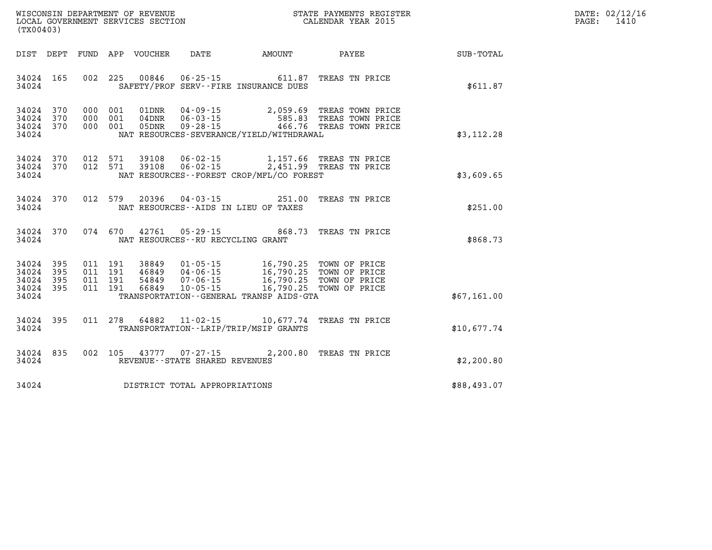| DATE: | 02/12/16 |
|-------|----------|
| PAGE: | 1410     |

| WISCONSIN DEPARTMENT OF REVENUE<br>LOCAL GOVERNMENT SERVICES SECTION<br>(TX00403) |                                                                                                                                                                                             |                                     | STATE PAYMENTS REGISTER<br>CALENDAR YEAR 2015                                   |             |
|-----------------------------------------------------------------------------------|---------------------------------------------------------------------------------------------------------------------------------------------------------------------------------------------|-------------------------------------|---------------------------------------------------------------------------------|-------------|
| DIST DEPT<br>FUND                                                                 | APP VOUCHER                                                                                                                                                                                 | DATE AMOUNT                         | PAYEE SUB-TOTAL                                                                 |             |
| 165<br>002<br>34024<br>34024                                                      | 225<br>00846<br>SAFETY/PROF SERV--FIRE INSURANCE DUES                                                                                                                                       | 06-25-15 611.87                     | TREAS TN PRICE                                                                  | \$611.87    |
| 370<br>34024<br>34024<br>370<br>000<br>34024<br>370<br>000<br>34024               | 000 001<br>01DNR<br>$04 - 09 - 15$<br>$06 - 03 - 15$<br>001<br>$04\mathtt{DNR}$<br>001<br>05DNR<br>$09 - 28 - 15$<br>NAT RESOURCES-SEVERANCE/YIELD/WITHDRAWAL                               |                                     | 2,059.69 TREAS TOWN PRICE<br>585.83 TREAS TOWN PRICE<br>466.76 TREAS TOWN PRICE | \$3,112.28  |
| 012<br>34024<br>370<br>012<br>34024<br>370<br>34024                               | 571<br>39108  06-02-15  1,157.66 TREAS TN PRICE<br>39108  06-02-15  2,451.99 TREAS TN PRICE<br>571<br>NAT RESOURCES - - FOREST CROP/MFL/CO FOREST                                           |                                     |                                                                                 | \$3,609.65  |
| 34024<br>370<br>012<br>34024                                                      | 579<br>20396 04-03-15<br>NAT RESOURCES -- AIDS IN LIEU OF TAXES                                                                                                                             | 251.00                              | TREAS TN PRICE                                                                  | \$251.00    |
| 34024<br>370<br>34024                                                             | 074 670<br>$05 - 29 - 15$<br>42761<br>NAT RESOURCES - - RU RECYCLING GRANT                                                                                                                  | 868.73                              | TREAS TN PRICE                                                                  | \$868.73    |
| 395<br>34024<br>395<br>34024<br>34024<br>395<br>34024<br>395<br>011<br>34024      | 011 191<br>38849<br>$01 - 05 - 15$<br>011 191<br>46849<br>$04 - 06 - 15$<br>011 191<br>54849<br>$07 - 06 - 15$<br>191<br>66849<br>$10 - 05 - 15$<br>TRANSPORTATION--GENERAL TRANSP AIDS-GTA | 16,790.25<br>16,790.25<br>16,790.25 | 16,790.25 TOWN OF PRICE<br>TOWN OF PRICE<br>TOWN OF PRICE<br>TOWN OF PRICE      | \$67,161.00 |
| 395<br>34024<br>34024                                                             | 011 278<br>64882 11-02-15 10,677.74<br>TRANSPORTATION - - LRIP/TRIP/MSIP GRANTS                                                                                                             |                                     | TREAS TN PRICE                                                                  | \$10,677.74 |
| 835<br>34024<br>34024                                                             | 43777 07-27-15 2,200.80<br>002 105<br>REVENUE - - STATE SHARED REVENUES                                                                                                                     |                                     | TREAS TN PRICE                                                                  | \$2,200.80  |
| 34024                                                                             | DISTRICT TOTAL APPROPRIATIONS                                                                                                                                                               |                                     |                                                                                 | \$88,493.07 |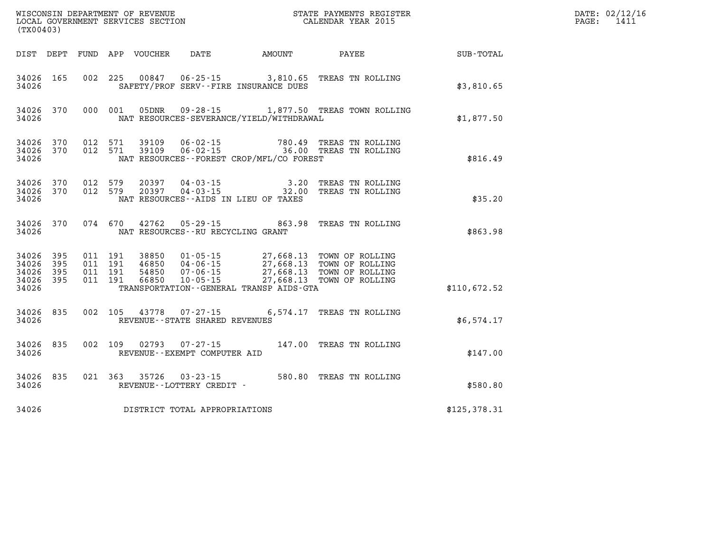| (TX00403)                                                          |                                                                                                                                                                                                                                                                                                                                                                                                       | STATE PAYMENTS REGISTER                                             |              | DATE: 02/12/16<br>PAGE:<br>1411 |
|--------------------------------------------------------------------|-------------------------------------------------------------------------------------------------------------------------------------------------------------------------------------------------------------------------------------------------------------------------------------------------------------------------------------------------------------------------------------------------------|---------------------------------------------------------------------|--------------|---------------------------------|
|                                                                    | DIST DEPT FUND APP VOUCHER                                                                                                                                                                                                                                                                                                                                                                            | DATE AMOUNT PAYEE                                                   | SUB-TOTAL    |                                 |
| 34026 165<br>34026                                                 | 002 225 00847 06-25-15 3,810.65 TREAS TN ROLLING<br>SAFETY/PROF SERV--FIRE INSURANCE DUES                                                                                                                                                                                                                                                                                                             |                                                                     | \$3,810.65   |                                 |
| 34026 370<br>34026                                                 | 000 001<br>NAT RESOURCES-SEVERANCE/YIELD/WITHDRAWAL                                                                                                                                                                                                                                                                                                                                                   | 05DNR  09-28-15  1,877.50 TREAS TOWN ROLLING                        | \$1,877.50   |                                 |
| 34026<br>370<br>34026 370<br>34026                                 | 012 571<br>39109<br>012 571 39109<br>NAT RESOURCES--FOREST CROP/MFL/CO FOREST                                                                                                                                                                                                                                                                                                                         | 06-02-15 780.49 TREAS TN ROLLING<br>06-02-15 36.00 TREAS TN ROLLING | \$816.49     |                                 |
| 34026<br>370<br>34026<br>370<br>34026                              | 012 579<br>20397<br>012 579<br>20397<br>NAT RESOURCES--AIDS IN LIEU OF TAXES                                                                                                                                                                                                                                                                                                                          | 04-03-15 3.20 TREAS TN ROLLING<br>04-03-15 32.00 TREAS TN ROLLING   | \$35.20      |                                 |
| 34026<br>370<br>34026                                              | 074 670 42762<br>NAT RESOURCES--RU RECYCLING GRANT                                                                                                                                                                                                                                                                                                                                                    | 05-29-15 863.98 TREAS TN ROLLING                                    | \$863.98     |                                 |
| 34026<br>395<br>34026<br>395<br>34026<br>395<br>34026 395<br>34026 | $\begin{array}{cccc} 011 & 191 & 38850 & 01\cdot 05\cdot 15 & 27,668.13 & \text{TOWN OF ROLLING} \\ 011 & 191 & 46850 & 04\cdot 06\cdot 15 & 27,668.13 & \text{TOWN OF ROLLING} \\ 011 & 191 & 54850 & 07\cdot 06\cdot 15 & 27,668.13 & \text{TOWN OF ROLLING} \\ 011 & 191 & 66850 & 10\cdot 05\cdot 15 & 27,668.13 & \text{TOWN OF ROLLING} \end{array}$<br>TRANSPORTATION--GENERAL TRANSP AIDS-GTA |                                                                     | \$110,672.52 |                                 |
| 34026 835<br>34026                                                 | 002 105 43778 07-27-15<br>REVENUE--STATE SHARED REVENUES                                                                                                                                                                                                                                                                                                                                              | 6,574.17 TREAS TN ROLLING                                           | \$6,574.17   |                                 |
| 835<br>34026<br>34026                                              | 002 109 02793<br>$07 - 27 - 15$<br>REVENUE--EXEMPT COMPUTER AID                                                                                                                                                                                                                                                                                                                                       | 147.00 TREAS TN ROLLING                                             | \$147.00     |                                 |
| 34026<br>835<br>34026                                              | 021 363<br>35726<br>REVENUE--LOTTERY CREDIT -                                                                                                                                                                                                                                                                                                                                                         | 03-23-15 580.80 TREAS TN ROLLING                                    | \$580.80     |                                 |
| 34026                                                              | DISTRICT TOTAL APPROPRIATIONS                                                                                                                                                                                                                                                                                                                                                                         |                                                                     | \$125,378.31 |                                 |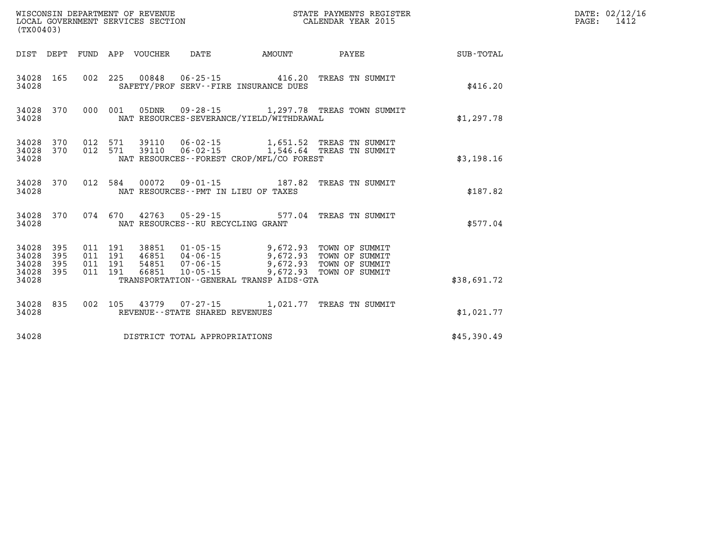| (TX00403)                            |                         |  |                                 |                                   |                                                                                                                                                                                                                                                 | % WISCONSIN DEPARTMENT OF REVENUE WISCONSIN STATE PAYMENTS REGISTER LOCAL GOVERNMENT SERVICES SECTION WELL TO SALENDAR YEAR 2015 |             | DATE: 02/12/16<br>$\mathtt{PAGE:}$<br>1412 |
|--------------------------------------|-------------------------|--|---------------------------------|-----------------------------------|-------------------------------------------------------------------------------------------------------------------------------------------------------------------------------------------------------------------------------------------------|----------------------------------------------------------------------------------------------------------------------------------|-------------|--------------------------------------------|
|                                      |                         |  | DIST DEPT FUND APP VOUCHER DATE |                                   | <b>EXAMPLE THE AMOUNT</b>                                                                                                                                                                                                                       | <b>PAYEE</b>                                                                                                                     | SUB-TOTAL   |                                            |
| 34028                                |                         |  |                                 |                                   | SAFETY/PROF SERV--FIRE INSURANCE DUES                                                                                                                                                                                                           | 34028 165 002 225 00848 06-25-15 416.20 TREAS TN SUMMIT                                                                          | \$416.20    |                                            |
| 34028                                |                         |  |                                 |                                   | NAT RESOURCES-SEVERANCE/YIELD/WITHDRAWAL                                                                                                                                                                                                        | 34028 370 000 001 05DNR 09-28-15 1,297.78 TREAS TOWN SUMMIT                                                                      | \$1,297.78  |                                            |
| 34028                                |                         |  |                                 |                                   | NAT RESOURCES - FOREST CROP/MFL/CO FOREST                                                                                                                                                                                                       | $34028$ 370 012 571 39110 06-02-15 1,651.52 TREAS TN SUMMIT<br>34028 370 012 571 39110 06-02-15 1,546.64 TREAS TN SUMMIT         | \$3,198.16  |                                            |
| 34028                                |                         |  |                                 |                                   | NAT RESOURCES--PMT IN LIEU OF TAXES                                                                                                                                                                                                             | 34028 370 012 584 00072 09-01-15 187.82 TREAS TN SUMMIT                                                                          | \$187.82    |                                            |
| 34028                                |                         |  |                                 | NAT RESOURCES--RU RECYCLING GRANT |                                                                                                                                                                                                                                                 | 34028 370 074 670 42763 05-29-15 577.04 TREAS TN SUMMIT                                                                          | \$577.04    |                                            |
| 34028<br>34028<br>34028 395<br>34028 | 34028 395<br>395<br>395 |  |                                 |                                   | 011 191 38851 01-05-15 9,672.93 TOWN OF SUMMIT<br>011 191 46851 04-06-15 9,672.93 TOWN OF SUMMIT<br>011 191 54851 07-06-15 9,672.93 TOWN OF SUMMIT<br>011 191 66851 10-05-15 9,672.93 TOWN OF SUMMIT<br>TRANSPORTATION--GENERAL TRANSP AIDS-GTA |                                                                                                                                  | \$38,691.72 |                                            |
| 34028                                |                         |  |                                 | REVENUE--STATE SHARED REVENUES    |                                                                                                                                                                                                                                                 | 34028 835 002 105 43779 07-27-15 1,021.77 TREAS TN SUMMIT                                                                        | \$1,021.77  |                                            |
| 34028                                |                         |  |                                 | DISTRICT TOTAL APPROPRIATIONS     |                                                                                                                                                                                                                                                 |                                                                                                                                  | \$45,390.49 |                                            |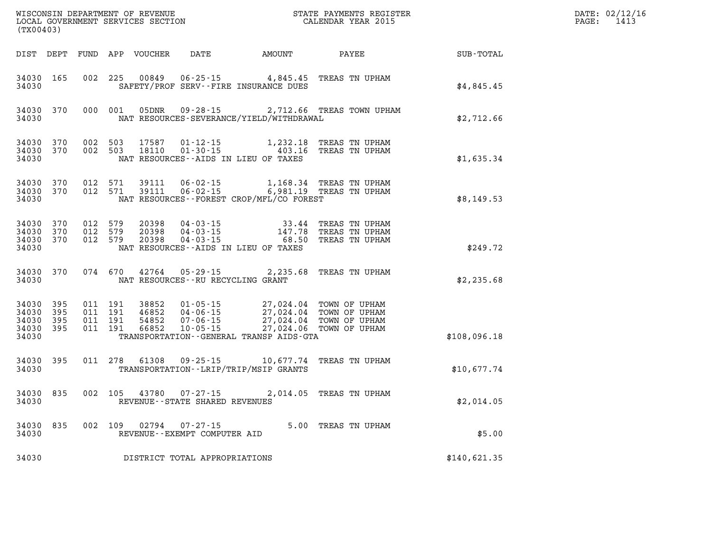| (TX00403)                                 |                            |                                          | WISCONSIN DEPARTMENT OF REVENUE<br>LOCAL GOVERNMENT SERVICES SECTION |                                                |                                                                                                                                                                                              | STATE PAYMENTS REGISTER<br>CALENDAR YEAR 2015                                                    |              | DATE: 02/12/16<br>$\mathtt{PAGE:}$<br>1413 |
|-------------------------------------------|----------------------------|------------------------------------------|----------------------------------------------------------------------|------------------------------------------------|----------------------------------------------------------------------------------------------------------------------------------------------------------------------------------------------|--------------------------------------------------------------------------------------------------|--------------|--------------------------------------------|
|                                           |                            |                                          |                                                                      | DIST DEPT FUND APP VOUCHER DATE AMOUNT         |                                                                                                                                                                                              | PAYEE                                                                                            | SUB-TOTAL    |                                            |
| 34030 165<br>34030                        |                            | 002 225                                  | 00849                                                                |                                                | $06 - 25 - 15$ 4,845.45<br>SAFETY/PROF SERV--FIRE INSURANCE DUES                                                                                                                             | TREAS TN UPHAM                                                                                   | \$4,845.45   |                                            |
| 34030 370<br>34030                        |                            | 000 001                                  | 05DNR                                                                |                                                | NAT RESOURCES-SEVERANCE/YIELD/WITHDRAWAL                                                                                                                                                     | 09-28-15 2,712.66 TREAS TOWN UPHAM                                                               | \$2,712.66   |                                            |
| 34030 370<br>34030 370<br>34030           |                            | 002 503<br>002 503                       | 17587<br>18110                                                       | 01-12-15                                       | NAT RESOURCES -- AIDS IN LIEU OF TAXES                                                                                                                                                       | 1,232.18 TREAS TN UPHAM<br>01-30-15 403.16 TREAS TN UPHAM                                        | \$1,635.34   |                                            |
| 34030<br>34030 370<br>34030               | 370                        | 012 571<br>012 571                       | 39111<br>39111                                                       | $06 - 02 - 15$                                 | NAT RESOURCES--FOREST CROP/MFL/CO FOREST                                                                                                                                                     | 06-02-15 1,168.34 TREAS TN UPHAM<br>6,981.19 TREAS TN UPHAM                                      | \$8,149.53   |                                            |
| 34030 370<br>34030<br>34030<br>34030      | 370<br>370                 | 012 579<br>012 579<br>012 579            | 20398<br>20398<br>20398                                              |                                                | NAT RESOURCES -- AIDS IN LIEU OF TAXES                                                                                                                                                       | 04-03-15 33.44 TREAS TN UPHAM<br>04-03-15 147.78 TREAS TN UPHAM<br>04-03-15 68.50 TREAS TN UPHAM | \$249.72     |                                            |
| 34030 370<br>34030                        |                            | 074 670                                  | 42764                                                                | NAT RESOURCES - - RU RECYCLING GRANT           | $05 - 29 - 15$ 2, 235.68                                                                                                                                                                     | TREAS TN UPHAM                                                                                   | \$2,235.68   |                                            |
| 34030<br>34030<br>34030<br>34030<br>34030 | 395<br>395<br>- 395<br>395 | 011 191<br>011 191<br>011 191<br>011 191 | 38852<br>46852<br>54852<br>66852                                     |                                                | 01-05-15 27,024.04 TOWN OF UPHAM<br>04-06-15 27,024.04 TOWN OF UPHAM<br>07-06-15 27,024.04 TOWN OF UPHAM<br>10-05-15 27,024.06 TOWN OF UPHAM<br>TRANSPORTATION - - GENERAL TRANSP AIDS - GTA |                                                                                                  | \$108,096.18 |                                            |
| 34030 395<br>34030                        |                            |                                          | 011 278 61308                                                        |                                                | TRANSPORTATION - - LRIP/TRIP/MSIP GRANTS                                                                                                                                                     | 09-25-15 10,677.74 TREAS TN UPHAM                                                                | \$10,677.74  |                                            |
| 34030 835<br>34030                        |                            | 002 105                                  |                                                                      | REVENUE - - STATE SHARED REVENUES              |                                                                                                                                                                                              | 43780  07-27-15  2,014.05  TREAS TN UPHAM                                                        | \$2,014.05   |                                            |
| 34030<br>34030                            | 835                        | 002 109                                  | 02794                                                                | $07 - 27 - 15$<br>REVENUE--EXEMPT COMPUTER AID |                                                                                                                                                                                              | 5.00 TREAS TN UPHAM                                                                              | \$5.00       |                                            |
| 34030                                     |                            |                                          |                                                                      | DISTRICT TOTAL APPROPRIATIONS                  |                                                                                                                                                                                              |                                                                                                  | \$140,621.35 |                                            |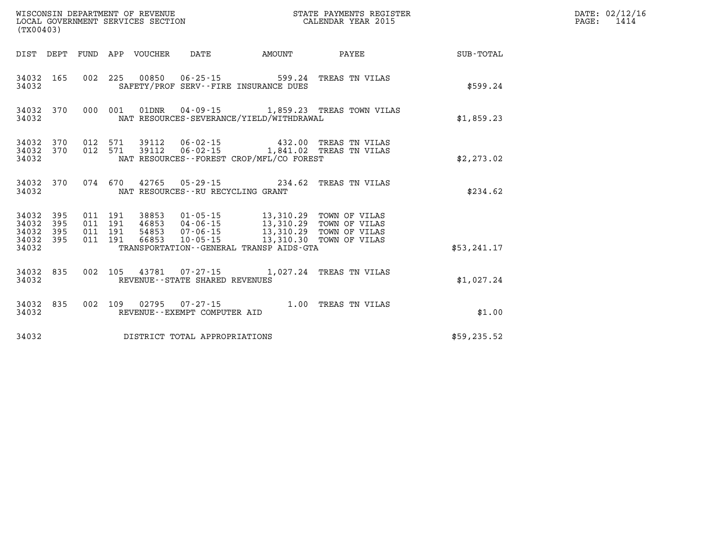|                                               | (TX00403)              |  |  |  |                                      |                                                                                                                                                                                                                                                                                                                                                                                  |                                                                                                |              | DATE: 02/12/16<br>$\mathtt{PAGE:}$<br>1414 |
|-----------------------------------------------|------------------------|--|--|--|--------------------------------------|----------------------------------------------------------------------------------------------------------------------------------------------------------------------------------------------------------------------------------------------------------------------------------------------------------------------------------------------------------------------------------|------------------------------------------------------------------------------------------------|--------------|--------------------------------------------|
|                                               |                        |  |  |  |                                      |                                                                                                                                                                                                                                                                                                                                                                                  | DIST DEPT FUND APP VOUCHER  DATE           AMOUNT            PAYEE                             | SUB-TOTAL    |                                            |
| 34032 165<br>34032                            |                        |  |  |  |                                      | 002 225 00850 06-25-15 599.24 TREAS TN VILAS<br>SAFETY/PROF SERV--FIRE INSURANCE DUES                                                                                                                                                                                                                                                                                            |                                                                                                | \$599.24     |                                            |
| 34032                                         | 34032 370              |  |  |  |                                      | NAT RESOURCES-SEVERANCE/YIELD/WITHDRAWAL                                                                                                                                                                                                                                                                                                                                         | 000 001 01DNR 04-09-15 1,859.23 TREAS TOWN VILAS                                               | \$1,859.23   |                                            |
| 34032                                         | 34032 370<br>34032 370 |  |  |  |                                      | NAT RESOURCES--FOREST CROP/MFL/CO FOREST                                                                                                                                                                                                                                                                                                                                         | 012 571 39112 06-02-15 432.00 TREAS TN VILAS<br>012 571 39112 06-02-15 1,841.02 TREAS TN VILAS | \$2,273.02   |                                            |
| 34032                                         | 34032 370              |  |  |  | NAT RESOURCES - - RU RECYCLING GRANT | 074 670 42765 05-29-15 234.62 TREAS TN VILAS                                                                                                                                                                                                                                                                                                                                     |                                                                                                | \$234.62     |                                            |
| 34032<br>34032<br>34032<br>34032 395<br>34032 | 395<br>395<br>395      |  |  |  |                                      | $\begin{array}{cccc} 011 & 191 & 38853 & 01\cdot 05\cdot 15 & 13\, , 310\, .29 & \text{TOWN OF VILAS} \\ 011 & 191 & 46853 & 04\cdot 06\cdot 15 & 13\, , 310\, .29 & \text{TOWN OF VILAS} \\ 011 & 191 & 54853 & 07\cdot 06\cdot 15 & 13\, , 310\, .29 & \text{TOWN OF VILAS} \\ 011 & 191 & 66853 & 10\cdot 05\cdot 15 & 13\, , 310$<br>TRANSPORTATION--GENERAL TRANSP AIDS-GTA |                                                                                                | \$53, 241.17 |                                            |
| 34032                                         | 34032 835              |  |  |  | REVENUE - - STATE SHARED REVENUES    | 002 105 43781 07-27-15 1,027.24 TREAS TN VILAS                                                                                                                                                                                                                                                                                                                                   |                                                                                                | \$1,027.24   |                                            |
| 34032 835<br>34032                            |                        |  |  |  | REVENUE--EXEMPT COMPUTER AID         | 002 109 02795 07-27-15 1.00 TREAS TN VILAS                                                                                                                                                                                                                                                                                                                                       |                                                                                                | \$1.00       |                                            |
| 34032                                         |                        |  |  |  | DISTRICT TOTAL APPROPRIATIONS        |                                                                                                                                                                                                                                                                                                                                                                                  |                                                                                                | \$59,235.52  |                                            |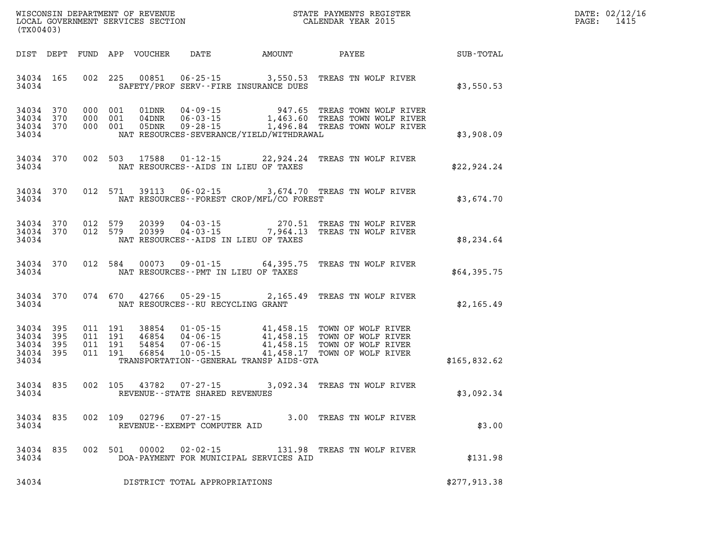| WISCONSIN DEPARTMENT OF REVENUE   | PAYMENTS REGISTER<br>3TATE | DATE: | 02/12/16 |
|-----------------------------------|----------------------------|-------|----------|
| LOCAL GOVERNMENT SERVICES SECTION | CALENDAR YEAR 2015         | PAGE  | 141!     |

| (TX00403)                                                 |  |                    | LOCAL GOVERNMENT SERVICES SECTION |                                          |                                              | CALENDAR YEAR 2015                                                                                                                                                                                                                                                                                                                                                                 |              | PAGE: | 1415 |
|-----------------------------------------------------------|--|--------------------|-----------------------------------|------------------------------------------|----------------------------------------------|------------------------------------------------------------------------------------------------------------------------------------------------------------------------------------------------------------------------------------------------------------------------------------------------------------------------------------------------------------------------------------|--------------|-------|------|
|                                                           |  |                    |                                   |                                          | DIST DEPT FUND APP VOUCHER DATE AMOUNT PAYEE |                                                                                                                                                                                                                                                                                                                                                                                    | SUB-TOTAL    |       |      |
| 34034 165<br>34034                                        |  | 002 225            | 00851                             | SAFETY/PROF SERV--FIRE INSURANCE DUES    |                                              | 06-25-15 3,550.53 TREAS TN WOLF RIVER                                                                                                                                                                                                                                                                                                                                              | \$3,550.53   |       |      |
| 34034 370<br>34034 370<br>34034 370<br>34034              |  |                    |                                   |                                          | NAT RESOURCES-SEVERANCE/YIELD/WITHDRAWAL     | 000 001 01DNR 04-09-15 947.65 TREAS TOWN WOLF RIVER<br>000 001 04DNR 06-03-15 1,463.60 TREAS TOWN WOLF RIVER<br>000 001 05DNR 09-28-15 1,496.84 TREAS TOWN WOLF RIVER                                                                                                                                                                                                              | \$3,908.09   |       |      |
| 34034 370<br>34034                                        |  |                    |                                   | NAT RESOURCES--AIDS IN LIEU OF TAXES     |                                              | 002 503 17588 01-12-15 22,924.24 TREAS TN WOLF RIVER                                                                                                                                                                                                                                                                                                                               | \$22,924.24  |       |      |
| 34034 370<br>34034                                        |  | 012 571            | 39113                             |                                          | NAT RESOURCES - - FOREST CROP/MFL/CO FOREST  | 06-02-15 3,674.70 TREAS TN WOLF RIVER                                                                                                                                                                                                                                                                                                                                              | \$3,674.70   |       |      |
| 34034 370<br>34034 370<br>34034                           |  | 012 579<br>012 579 | 20399<br>20399                    | NAT RESOURCES--AIDS IN LIEU OF TAXES     |                                              | 04-03-15 270.51 TREAS TN WOLF RIVER<br>04-03-15 7,964.13 TREAS TN WOLF RIVER                                                                                                                                                                                                                                                                                                       | \$8,234.64   |       |      |
| 34034 370<br>34034                                        |  | 012 584            |                                   | NAT RESOURCES -- PMT IN LIEU OF TAXES    |                                              | 00073  09-01-15  64,395.75  TREAS  TN WOLF RIVER                                                                                                                                                                                                                                                                                                                                   | \$64,395.75  |       |      |
| 34034 370<br>34034                                        |  |                    |                                   | NAT RESOURCES--RU RECYCLING GRANT        |                                              | 074 670 42766 05-29-15 2,165.49 TREAS TN WOLF RIVER                                                                                                                                                                                                                                                                                                                                | \$2,165.49   |       |      |
| 34034 395<br>34034 395<br>34034 395<br>34034 395<br>34034 |  |                    |                                   |                                          | TRANSPORTATION - - GENERAL TRANSP AIDS - GTA | $\begin{array}{cccc} 011 & 191 & 38854 & 01\cdot 05\cdot 15 & 41\,, 458\,.15 & \text{TOWN OF WOLF RIVER} \\ 011 & 191 & 46854 & 04\cdot 06\cdot 15 & 41\,, 458\,.15 & \text{TOWN OF WOLF RIVER} \\ 011 & 191 & 54854 & 07\cdot 06\cdot 15 & 41\,, 458\,.15 & \text{TOWN OF WOLF RIVER} \\ 011 & 191 & 66854 & 10\cdot 05\cdot 15 & 41\,, 458\,.17$<br>41,458.17 TOWN OF WOLF RIVER | \$165,832.62 |       |      |
| 34034 835<br>34034                                        |  | 002 105            |                                   | REVENUE--STATE SHARED REVENUES           |                                              | 43782 07-27-15 3,092.34 TREAS TN WOLF RIVER                                                                                                                                                                                                                                                                                                                                        | \$3,092.34   |       |      |
| 34034 835<br>34034                                        |  |                    | 002 109 02796                     | 07-27-15<br>REVENUE--EXEMPT COMPUTER AID |                                              | 3.00 TREAS TN WOLF RIVER                                                                                                                                                                                                                                                                                                                                                           | \$3.00       |       |      |
| 34034 835<br>34034                                        |  |                    |                                   | 002 501 00002 02-02-15                   | DOA-PAYMENT FOR MUNICIPAL SERVICES AID       | 131.98 TREAS TN WOLF RIVER                                                                                                                                                                                                                                                                                                                                                         | \$131.98     |       |      |
| 34034                                                     |  |                    |                                   | DISTRICT TOTAL APPROPRIATIONS            |                                              |                                                                                                                                                                                                                                                                                                                                                                                    | \$277,913.38 |       |      |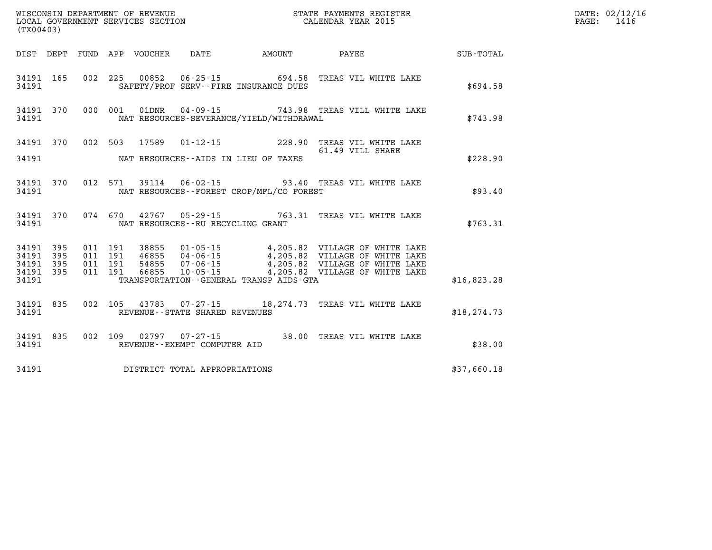| (TX00403)                                        | WISCONSIN DEPARTMENT OF REVENUE<br>LOCAL GOVERNMENT SERVICES SECTION<br>CALENDAR YEAR 2015                                                                                                                                       | DATE: 02/12/16<br>PAGE: 1416 |
|--------------------------------------------------|----------------------------------------------------------------------------------------------------------------------------------------------------------------------------------------------------------------------------------|------------------------------|
|                                                  | DIST DEPT FUND APP VOUCHER DATE AMOUNT PAYEE SUB-TOTAL                                                                                                                                                                           |                              |
|                                                  | 34191 165 002 225 00852 06-25-15 694.58 TREAS VIL WHITE LAKE<br>34191 SAFETY/PROF SERV--FIRE INSURANCE DUES                                                                                                                      | \$694.58                     |
| 34191                                            | 34191 370 000 001 01DNR 04-09-15 743.98 TREAS VILL WHITE LAKE<br>NAT RESOURCES-SEVERANCE/YIELD/WITHDRAWAL                                                                                                                        | \$743.98                     |
|                                                  | 34191 370 002 503 17589 01-12-15 228.90 TREAS VIL WHITE LAKE<br>61.49 VILL SHARE<br>61.49 VILL SHARE<br>34191 NAT RESOURCES--AIDS IN LIEU OF TAXES                                                                               | \$228.90                     |
|                                                  | 34191 370 012 571 39114 06-02-15 93.40 TREAS VIL WHITE LAKE<br>34191 NAT RESOURCES--FOREST CROP/MFL/CO FOREST                                                                                                                    | \$93.40                      |
|                                                  | 34191 370 074 670 42767 05-29-15 763.31 TREAS VIL WHITE LAKE<br>34191 NAT RESOURCES--RU RECYCLING GRANT                                                                                                                          | \$763.31                     |
| 34191 395<br>34191 395<br>34191 395<br>34191 395 | 011 191 38855 01-05-15 4,205.82 VILLAGE OF WHITE LAKE<br>011 191 46855 04-06-15 4,205.82 VILLAGE OF WHITE LAKE<br>011 191 54855 07-06-15 4,205.82 VILLAGE OF WHITE LAKE<br>011 191 66855 10-05-15 4,205.82 VILLAGE OF WHITE LAKE |                              |
|                                                  | 34191 TRANSPORTATION - GENERAL TRANSP AIDS - GTA                                                                                                                                                                                 | \$16,823.28                  |
|                                                  | 34191 835 002 105 43783 07-27-15 18,274.73 TREAS VIL WHITE LAKE<br>34191 REVENUE--STATE SHARED REVENUES                                                                                                                          | \$18, 274.73                 |
| 34191                                            | 34191 835 002 109 02797 07-27-15 38.00 TREAS VIL WHITE LAKE<br>REVENUE--EXEMPT COMPUTER AID                                                                                                                                      | \$38.00                      |
|                                                  | 34191 DISTRICT TOTAL APPROPRIATIONS                                                                                                                                                                                              | \$37,660.18                  |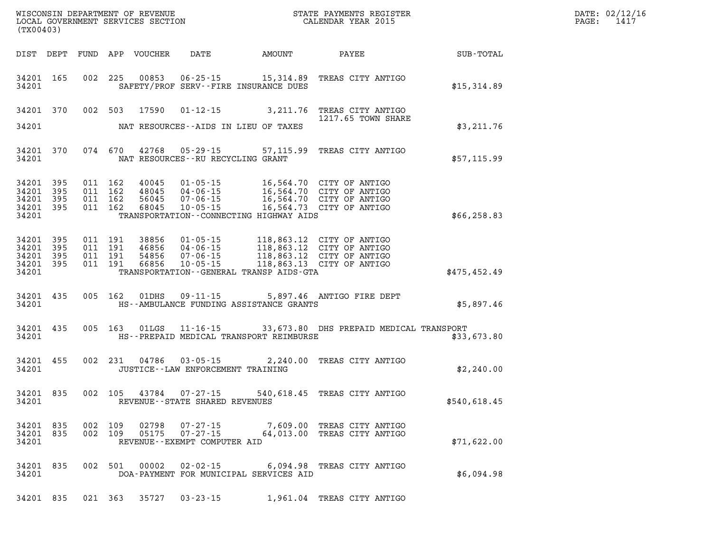| DATE: | 02/12/16 |
|-------|----------|
| PAGE: | 1417     |

| (TX00403)                                             |            |                                          | LOCAL GOVERNMENT SERVICES SECTION |                                                                  |                                                                                                                                                                                                          | CALENDAR YEAR 2015                                                      |              | PAGE: | 1417 |
|-------------------------------------------------------|------------|------------------------------------------|-----------------------------------|------------------------------------------------------------------|----------------------------------------------------------------------------------------------------------------------------------------------------------------------------------------------------------|-------------------------------------------------------------------------|--------------|-------|------|
|                                                       | DIST DEPT  |                                          | FUND APP VOUCHER                  |                                                                  |                                                                                                                                                                                                          | DATE AMOUNT PAYEE SUB-TOTAL                                             |              |       |      |
| 34201                                                 | 34201 165  |                                          | 002 225 00853                     |                                                                  | SAFETY/PROF SERV--FIRE INSURANCE DUES                                                                                                                                                                    | 06-25-15 15,314.89 TREAS CITY ANTIGO                                    | \$15,314.89  |       |      |
| 34201 370                                             |            |                                          |                                   |                                                                  |                                                                                                                                                                                                          | 002 503 17590 01-12-15 3,211.76 TREAS CITY ANTIGO<br>1217.65 TOWN SHARE |              |       |      |
| 34201                                                 |            |                                          |                                   |                                                                  | NAT RESOURCES--AIDS IN LIEU OF TAXES                                                                                                                                                                     |                                                                         | \$3,211.76   |       |      |
| 34201                                                 | 34201 370  | 074 670                                  |                                   | 42768 05-29-15<br>NAT RESOURCES--RU RECYCLING GRANT              |                                                                                                                                                                                                          | 57,115.99 TREAS CITY ANTIGO                                             | \$57,115.99  |       |      |
| 34201 395<br>34201<br>34201 395<br>34201 395<br>34201 | 395        | 011 162<br>011 162<br>011 162<br>011 162 | 40045<br>48045<br>56045<br>68045  |                                                                  | 01-05-15 16,564.70 CITY OF ANTIGO<br>04-06-15<br>07-06-15 16,564.70 CITY OF ANTIGO<br>07-06-15 16,564.70 CITY OF ANTIGO<br>10-05-15 16,564.73 CITY OF ANTIGO<br>TRANSPORTATION - CONNECTING HIGHWAY AIDS |                                                                         | \$66, 258.83 |       |      |
| 34201<br>34201 395<br>34201<br>34201 395<br>34201     | 395<br>395 | 011 191<br>011 191<br>011 191<br>011 191 | 54856<br>66856                    | 07-06-15<br>$10 - 05 - 15$                                       | 38856  01-05-15  118,863.12  CITY OF ANTIGO<br>46856  04-06-15  118,863.12  CITY OF ANTIGO<br>118,863.12 CITY OF ANTIGO<br>118,863.13 CITY OF ANTIGO<br>TRANSPORTATION--GENERAL TRANSP AIDS-GTA          |                                                                         | \$475,452.49 |       |      |
| 34201                                                 | 34201 435  | 005 162                                  | 01DHS                             | $09 - 11 - 15$                                                   | HS--AMBULANCE FUNDING ASSISTANCE GRANTS                                                                                                                                                                  | 5,897.46 ANTIGO FIRE DEPT                                               | \$5,897.46   |       |      |
| 34201 435<br>34201                                    |            | 005 163                                  | $01$ LGS                          |                                                                  | HS--PREPAID MEDICAL TRANSPORT REIMBURSE                                                                                                                                                                  | 11-16-15 33,673.80 DHS PREPAID MEDICAL TRANSPORT                        | \$33,673.80  |       |      |
| 34201 455<br>34201                                    |            | 002 231                                  | 04786                             | $03 - 05 - 15$<br>JUSTICE - - LAW ENFORCEMENT TRAINING           |                                                                                                                                                                                                          | 2,240.00 TREAS CITY ANTIGO                                              | \$2,240.00   |       |      |
| 34201 835<br>34201                                    |            | 002 105                                  | 43784                             | $07 - 27 - 15$<br>REVENUE - - STATE SHARED REVENUES              |                                                                                                                                                                                                          | 540,618.45 TREAS CITY ANTIGO                                            | \$540,618.45 |       |      |
| 34201 835<br>34201 835<br>34201                       |            | 002 109<br>002 109                       | 02798<br>05175                    | $07 - 27 - 15$<br>$07 - 27 - 15$<br>REVENUE--EXEMPT COMPUTER AID |                                                                                                                                                                                                          | 7,609.00 TREAS CITY ANTIGO<br>64,013.00 TREAS CITY ANTIGO               | \$71,622.00  |       |      |
| 34201 835<br>34201                                    |            | 002 501                                  | 00002                             | 02-02-15                                                         | DOA-PAYMENT FOR MUNICIPAL SERVICES AID                                                                                                                                                                   | 6,094.98 TREAS CITY ANTIGO                                              | \$6,094.98   |       |      |
| 34201 835                                             |            |                                          | 021 363 35727                     | $03 - 23 - 15$                                                   |                                                                                                                                                                                                          | 1,961.04 TREAS CITY ANTIGO                                              |              |       |      |

WISCONSIN DEPARTMENT OF REVENUE **STATE PAYMENTS REGISTER**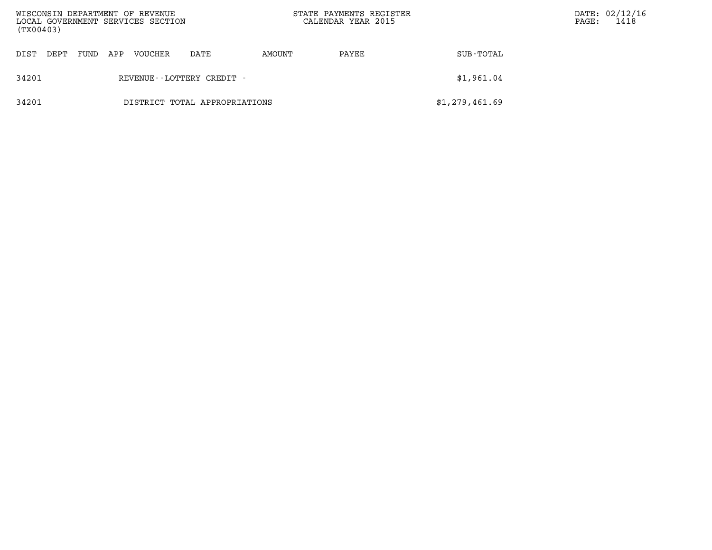| WISCONSIN DEPARTMENT OF REVENUE<br>LOCAL GOVERNMENT SERVICES SECTION<br>(TX00403) |      |      |     |                |                               |        | STATE PAYMENTS REGISTER<br>CALENDAR YEAR 2015 |                | PAGE: | DATE: 02/12/16<br>1418 |
|-----------------------------------------------------------------------------------|------|------|-----|----------------|-------------------------------|--------|-----------------------------------------------|----------------|-------|------------------------|
| DIST                                                                              | DEPT | FUND | APP | <b>VOUCHER</b> | DATE                          | AMOUNT | PAYEE                                         | SUB-TOTAL      |       |                        |
| 34201<br>REVENUE--LOTTERY CREDIT -                                                |      |      |     |                |                               |        |                                               | \$1,961.04     |       |                        |
| 34201                                                                             |      |      |     |                | DISTRICT TOTAL APPROPRIATIONS |        |                                               | \$1,279,461.69 |       |                        |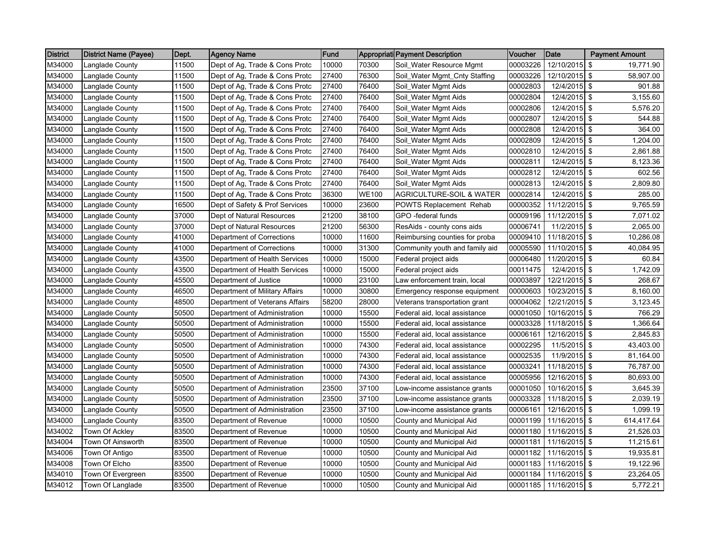| <b>District</b> | <b>District Name (Payee)</b> | Dept. | <b>Agency Name</b>             | Fund  |              | Appropriati Payment Description     | Voucher  | Date          | <b>Payment Amount</b> |
|-----------------|------------------------------|-------|--------------------------------|-------|--------------|-------------------------------------|----------|---------------|-----------------------|
| M34000          | Langlade County              | 11500 | Dept of Ag, Trade & Cons Protc | 10000 | 70300        | Soil_Water Resource Mgmt            | 00003226 | 12/10/2015    | 19,771.90<br>-\$      |
| M34000          | Langlade County              | 11500 | Dept of Ag, Trade & Cons Protc | 27400 | 76300        | Soil_Water Mgmt_Cnty Staffing       | 00003226 | 12/10/2015 \$ | 58,907.00             |
| M34000          | Langlade County              | 11500 | Dept of Ag, Trade & Cons Protc | 27400 | 76400        | Soil_Water Mgmt Aids                | 00002803 | 12/4/2015 \$  | 901.88                |
| M34000          | Langlade County              | 11500 | Dept of Ag, Trade & Cons Protc | 27400 | 76400        | Soil_Water Mgmt Aids                | 00002804 | 12/4/2015 \$  | 3,155.60              |
| M34000          | Langlade County              | 11500 | Dept of Ag, Trade & Cons Protc | 27400 | 76400        | Soil Water Mgmt Aids                | 00002806 | 12/4/2015 \$  | 5,576.20              |
| M34000          | Langlade County              | 11500 | Dept of Ag, Trade & Cons Protc | 27400 | 76400        | Soil_Water Mgmt Aids                | 00002807 | 12/4/2015 \$  | 544.88                |
| M34000          | Langlade County              | 11500 | Dept of Ag, Trade & Cons Protc | 27400 | 76400        | Soil_Water Mgmt Aids                | 00002808 | 12/4/2015 \$  | 364.00                |
| M34000          | Langlade County              | 11500 | Dept of Ag, Trade & Cons Protc | 27400 | 76400        | Soil_Water Mgmt Aids                | 00002809 | 12/4/2015 \$  | 1,204.00              |
| M34000          | Langlade County              | 11500 | Dept of Ag, Trade & Cons Protc | 27400 | 76400        | Soil_Water Mgmt Aids                | 00002810 | 12/4/2015 \$  | 2,861.88              |
| M34000          | Langlade County              | 11500 | Dept of Ag, Trade & Cons Protc | 27400 | 76400        | Soil_Water Mgmt Aids                | 00002811 | 12/4/2015 \$  | 8,123.36              |
| M34000          | Langlade County              | 11500 | Dept of Ag, Trade & Cons Protc | 27400 | 76400        | Soil_Water Mgmt Aids                | 00002812 | 12/4/2015 \$  | 602.56                |
| M34000          | Langlade County              | 11500 | Dept of Ag, Trade & Cons Protc | 27400 | 76400        | Soil_Water Mgmt Aids                | 00002813 | 12/4/2015     | 2,809.80<br>  \$      |
| M34000          | Langlade County              | 11500 | Dept of Ag, Trade & Cons Protc | 36300 | <b>WE100</b> | <b>AGRICULTURE-SOIL &amp; WATER</b> | 00002814 | 12/4/2015 \$  | 285.00                |
| M34000          | Langlade County              | 16500 | Dept of Safety & Prof Services | 10000 | 23600        | POWTS Replacement Rehab             | 00000352 | 11/12/2015 \$ | 9,765.59              |
| M34000          | Langlade County              | 37000 | Dept of Natural Resources      | 21200 | 38100        | GPO -federal funds                  | 00009196 | 11/12/2015    | l \$<br>7,071.02      |
| M34000          | Langlade County              | 37000 | Dept of Natural Resources      | 21200 | 56300        | ResAids - county cons aids          | 00006741 | 11/2/2015 \$  | 2,065.00              |
| M34000          | Langlade County              | 41000 | Department of Corrections      | 10000 | 11600        | Reimbursing counties for proba      | 00009410 | 11/18/2015 \$ | 10,286.08             |
| M34000          | Langlade County              | 41000 | Department of Corrections      | 10000 | 31300        | Community youth and family aid      | 00005590 | 11/10/2015 \$ | 40,084.95             |
| M34000          | Langlade County              | 43500 | Department of Health Services  | 10000 | 15000        | Federal project aids                | 00006480 | 11/20/2015 \$ | 60.84                 |
| M34000          | Langlade County              | 43500 | Department of Health Services  | 10000 | 15000        | Federal project aids                | 00011475 | 12/4/2015 \$  | 1,742.09              |
| M34000          | Langlade County              | 45500 | Department of Justice          | 10000 | 23100        | Law enforcement train, local        | 00003897 | 12/21/2015 \$ | 268.67                |
| M34000          | Langlade County              | 46500 | Department of Military Affairs | 10000 | 30800        | Emergency response equipment        | 00000603 | 10/23/2015 \$ | 8,160.00              |
| M34000          | Langlade County              | 48500 | Department of Veterans Affairs | 58200 | 28000        | Veterans transportation grant       | 00004062 | 12/21/2015 \$ | 3,123.45              |
| M34000          | Langlade County              | 50500 | Department of Administration   | 10000 | 15500        | Federal aid, local assistance       | 00001050 | 10/16/2015 \$ | 766.29                |
| M34000          | Langlade County              | 50500 | Department of Administration   | 10000 | 15500        | Federal aid, local assistance       | 00003328 | 11/18/2015 \$ | 1,366.64              |
| M34000          | Langlade County              | 50500 | Department of Administration   | 10000 | 15500        | Federal aid, local assistance       | 00006161 | 12/16/2015    | <b>S</b><br>2,845.83  |
| M34000          | Langlade County              | 50500 | Department of Administration   | 10000 | 74300        | Federal aid, local assistance       | 00002295 | 11/5/2015 \$  | 43,403.00             |
| M34000          | Langlade County              | 50500 | Department of Administration   | 10000 | 74300        | Federal aid, local assistance       | 00002535 | 11/9/2015 \$  | 81,164.00             |
| M34000          | Langlade County              | 50500 | Department of Administration   | 10000 | 74300        | Federal aid, local assistance       | 00003241 | 11/18/2015 \$ | 76,787.00             |
| M34000          | Langlade County              | 50500 | Department of Administration   | 10000 | 74300        | Federal aid, local assistance       | 00005956 | 12/16/2015 \$ | 80,693.00             |
| M34000          | Langlade County              | 50500 | Department of Administration   | 23500 | 37100        | Low-income assistance grants        | 00001050 | 10/16/2015 \$ | 3,645.39              |
| M34000          | Langlade County              | 50500 | Department of Administration   | 23500 | 37100        | Low-income assistance grants        | 00003328 | 11/18/2015 \$ | 2,039.19              |
| M34000          | Langlade County              | 50500 | Department of Administration   | 23500 | 37100        | Low-income assistance grants        | 00006161 | 12/16/2015 \$ | 1,099.19              |
| M34000          | Langlade County              | 83500 | Department of Revenue          | 10000 | 10500        | County and Municipal Aid            | 00001199 | 11/16/2015 \$ | 614,417.64            |
| M34002          | Town Of Ackley               | 83500 | Department of Revenue          | 10000 | 10500        | County and Municipal Aid            | 00001180 | 11/16/2015 \$ | 21,526.03             |
| M34004          | Town Of Ainsworth            | 83500 | Department of Revenue          | 10000 | 10500        | County and Municipal Aid            | 00001181 | 11/16/2015 \$ | 11,215.61             |
| M34006          | Town Of Antigo               | 83500 | Department of Revenue          | 10000 | 10500        | County and Municipal Aid            | 00001182 | 11/16/2015 \$ | 19,935.81             |
| M34008          | Town Of Elcho                | 83500 | Department of Revenue          | 10000 | 10500        | County and Municipal Aid            | 00001183 | 11/16/2015 \$ | 19,122.96             |
| M34010          | Town Of Evergreen            | 83500 | Department of Revenue          | 10000 | 10500        | County and Municipal Aid            | 00001184 | 11/16/2015 \$ | 23,264.05             |
| M34012          | Town Of Langlade             | 83500 | Department of Revenue          | 10000 | 10500        | County and Municipal Aid            | 00001185 | 11/16/2015 \$ | 5,772.21              |